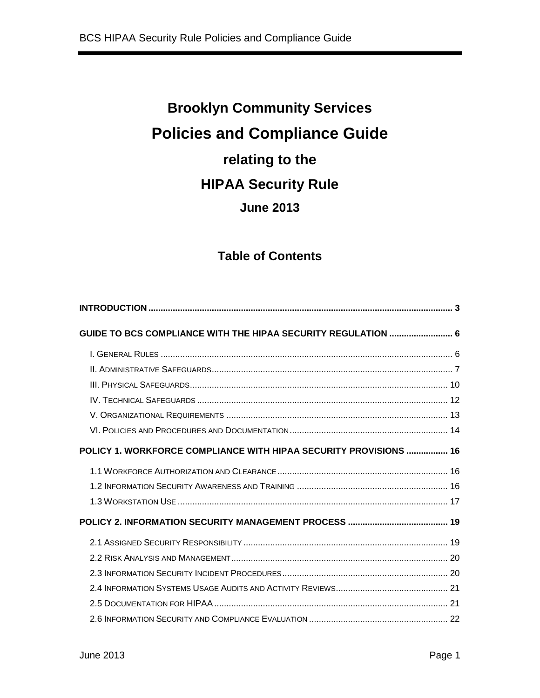# **Brooklyn Community Services Policies and Compliance Guide relating to the HIPAA Security Rule June 2013**

# **Table of Contents**

| GUIDE TO BCS COMPLIANCE WITH THE HIPAA SECURITY REGULATION  6     |  |
|-------------------------------------------------------------------|--|
|                                                                   |  |
|                                                                   |  |
|                                                                   |  |
|                                                                   |  |
|                                                                   |  |
|                                                                   |  |
| POLICY 1. WORKFORCE COMPLIANCE WITH HIPAA SECURITY PROVISIONS  16 |  |
|                                                                   |  |
|                                                                   |  |
|                                                                   |  |
|                                                                   |  |
|                                                                   |  |
|                                                                   |  |
|                                                                   |  |
|                                                                   |  |
|                                                                   |  |
|                                                                   |  |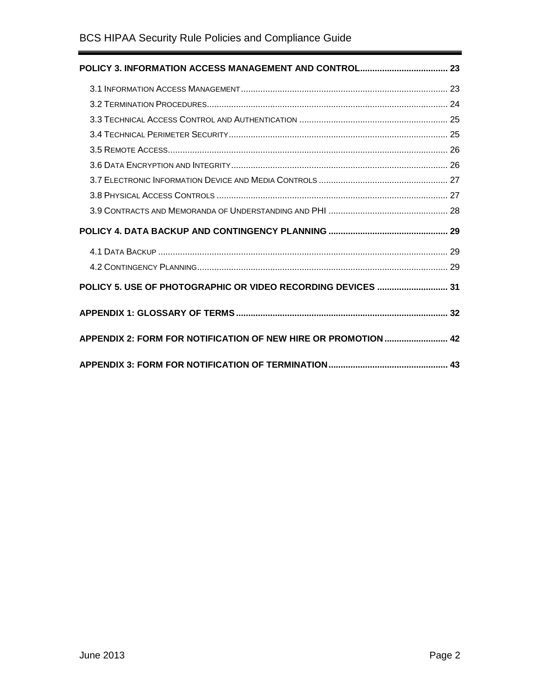| POLICY 5. USE OF PHOTOGRAPHIC OR VIDEO RECORDING DEVICES  31   |  |
|----------------------------------------------------------------|--|
|                                                                |  |
| APPENDIX 2: FORM FOR NOTIFICATION OF NEW HIRE OR PROMOTION  42 |  |
|                                                                |  |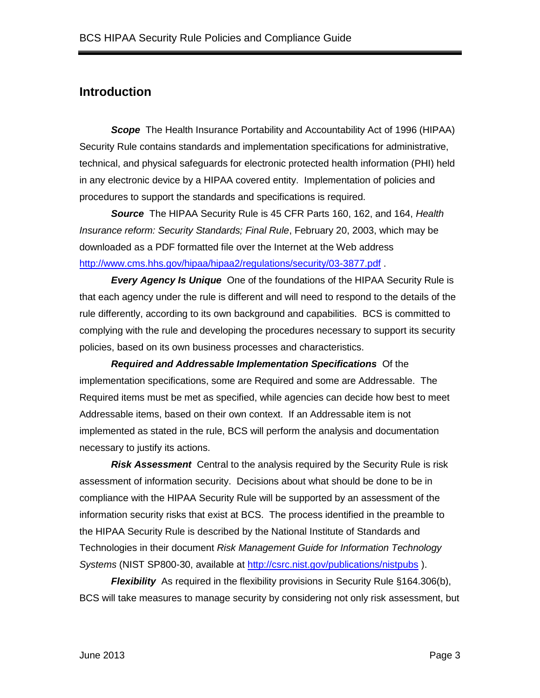# **Introduction**

*Scope* The Health Insurance Portability and Accountability Act of 1996 (HIPAA) Security Rule contains standards and implementation specifications for administrative, technical, and physical safeguards for electronic protected health information (PHI) held in any electronic device by a HIPAA covered entity. Implementation of policies and procedures to support the standards and specifications is required.

*Source* The HIPAA Security Rule is 45 CFR Parts 160, 162, and 164, *Health Insurance reform: Security Standards; Final Rule*, February 20, 2003, which may be downloaded as a PDF formatted file over the Internet at the Web address <http://www.cms.hhs.gov/hipaa/hipaa2/regulations/security/03-3877.pdf> .

*Every Agency Is Unique* One of the foundations of the HIPAA Security Rule is that each agency under the rule is different and will need to respond to the details of the rule differently, according to its own background and capabilities. BCS is committed to complying with the rule and developing the procedures necessary to support its security policies, based on its own business processes and characteristics.

*Required and Addressable Implementation Specifications* Of the implementation specifications, some are Required and some are Addressable. The Required items must be met as specified, while agencies can decide how best to meet Addressable items, based on their own context. If an Addressable item is not implemented as stated in the rule, BCS will perform the analysis and documentation necessary to justify its actions.

*Risk Assessment* Central to the analysis required by the Security Rule is risk assessment of information security. Decisions about what should be done to be in compliance with the HIPAA Security Rule will be supported by an assessment of the information security risks that exist at BCS. The process identified in the preamble to the HIPAA Security Rule is described by the National Institute of Standards and Technologies in their document *Risk Management Guide for Information Technology Systems* (NIST SP800-30, available at [http://csrc.nist.gov/publications/nistpubs](http://csrc.nist.gov/publications.nistpubs) ).

*Flexibility* As required in the flexibility provisions in Security Rule §164.306(b), BCS will take measures to manage security by considering not only risk assessment, but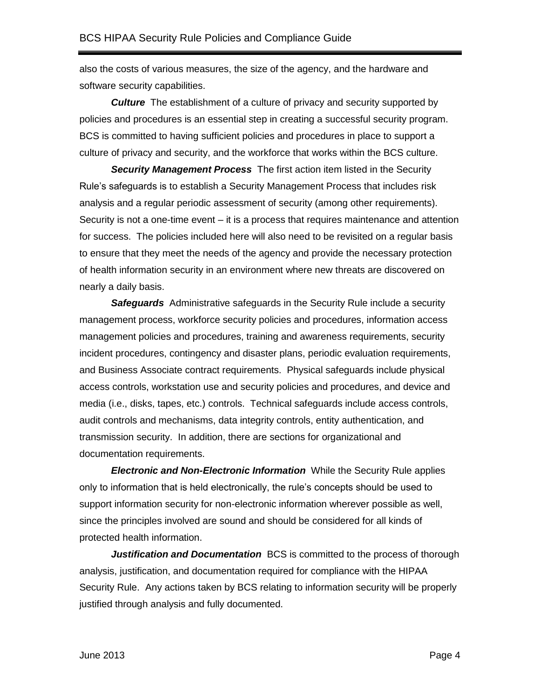also the costs of various measures, the size of the agency, and the hardware and software security capabilities.

**Culture** The establishment of a culture of privacy and security supported by policies and procedures is an essential step in creating a successful security program. BCS is committed to having sufficient policies and procedures in place to support a culture of privacy and security, and the workforce that works within the BCS culture.

*Security Management Process* The first action item listed in the Security Rule's safeguards is to establish a Security Management Process that includes risk analysis and a regular periodic assessment of security (among other requirements). Security is not a one-time event – it is a process that requires maintenance and attention for success. The policies included here will also need to be revisited on a regular basis to ensure that they meet the needs of the agency and provide the necessary protection of health information security in an environment where new threats are discovered on nearly a daily basis.

*Safeguards* Administrative safeguards in the Security Rule include a security management process, workforce security policies and procedures, information access management policies and procedures, training and awareness requirements, security incident procedures, contingency and disaster plans, periodic evaluation requirements, and Business Associate contract requirements. Physical safeguards include physical access controls, workstation use and security policies and procedures, and device and media (i.e., disks, tapes, etc.) controls. Technical safeguards include access controls, audit controls and mechanisms, data integrity controls, entity authentication, and transmission security. In addition, there are sections for organizational and documentation requirements.

*Electronic and Non-Electronic Information* While the Security Rule applies only to information that is held electronically, the rule's concepts should be used to support information security for non-electronic information wherever possible as well, since the principles involved are sound and should be considered for all kinds of protected health information.

*Justification and Documentation* BCS is committed to the process of thorough analysis, justification, and documentation required for compliance with the HIPAA Security Rule. Any actions taken by BCS relating to information security will be properly justified through analysis and fully documented.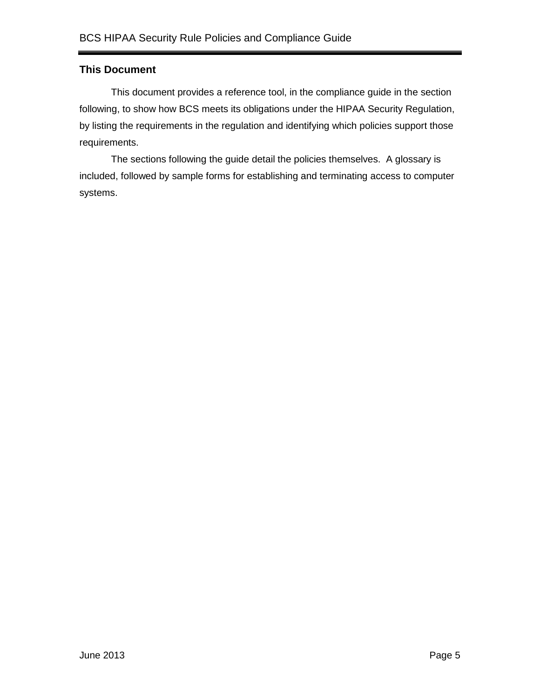### **This Document**

This document provides a reference tool, in the compliance guide in the section following, to show how BCS meets its obligations under the HIPAA Security Regulation, by listing the requirements in the regulation and identifying which policies support those requirements.

The sections following the guide detail the policies themselves. A glossary is included, followed by sample forms for establishing and terminating access to computer systems.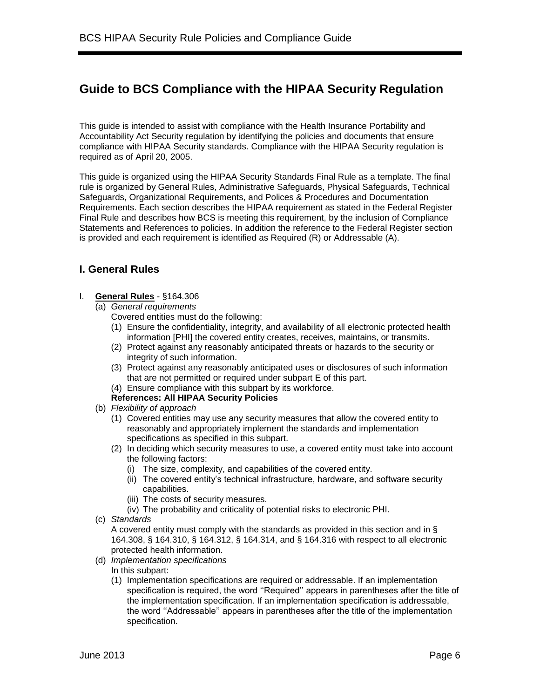# **Guide to BCS Compliance with the HIPAA Security Regulation**

This guide is intended to assist with compliance with the Health Insurance Portability and Accountability Act Security regulation by identifying the policies and documents that ensure compliance with HIPAA Security standards. Compliance with the HIPAA Security regulation is required as of April 20, 2005.

This guide is organized using the HIPAA Security Standards Final Rule as a template. The final rule is organized by General Rules, Administrative Safeguards, Physical Safeguards, Technical Safeguards, Organizational Requirements, and Polices & Procedures and Documentation Requirements. Each section describes the HIPAA requirement as stated in the Federal Register Final Rule and describes how BCS is meeting this requirement, by the inclusion of Compliance Statements and References to policies. In addition the reference to the Federal Register section is provided and each requirement is identified as Required (R) or Addressable (A).

#### **I. General Rules**

#### I. **General Rules** - §164.306

- (a) *General requirements*
	- Covered entities must do the following:
	- (1) Ensure the confidentiality, integrity, and availability of all electronic protected health information [PHI] the covered entity creates, receives, maintains, or transmits.
	- (2) Protect against any reasonably anticipated threats or hazards to the security or integrity of such information.
	- (3) Protect against any reasonably anticipated uses or disclosures of such information that are not permitted or required under subpart E of this part.
	- (4) Ensure compliance with this subpart by its workforce.

#### **References: All HIPAA Security Policies**

- (b) *Flexibility of approach*
	- (1) Covered entities may use any security measures that allow the covered entity to reasonably and appropriately implement the standards and implementation specifications as specified in this subpart.
	- (2) In deciding which security measures to use, a covered entity must take into account the following factors:
		- (i) The size, complexity, and capabilities of the covered entity.
		- (ii) The covered entity's technical infrastructure, hardware, and software security capabilities.
		- (iii) The costs of security measures.
		- (iv) The probability and criticality of potential risks to electronic PHI.
- (c) *Standards*

A covered entity must comply with the standards as provided in this section and in § 164.308, § 164.310, § 164.312, § 164.314, and § 164.316 with respect to all electronic protected health information.

- (d) *Implementation specifications*
	- In this subpart:
	- (1) Implementation specifications are required or addressable. If an implementation specification is required, the word ''Required'' appears in parentheses after the title of the implementation specification. If an implementation specification is addressable, the word ''Addressable'' appears in parentheses after the title of the implementation specification.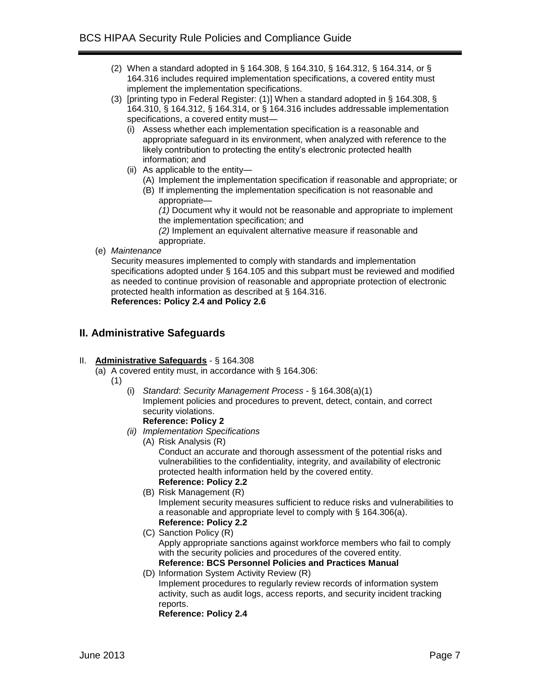- (2) When a standard adopted in § 164.308, § 164.310, § 164.312, § 164.314, or § 164.316 includes required implementation specifications, a covered entity must implement the implementation specifications.
- (3) [printing typo in Federal Register: (1)] When a standard adopted in § 164.308, § 164.310, § 164.312, § 164.314, or § 164.316 includes addressable implementation specifications, a covered entity must—
	- (i) Assess whether each implementation specification is a reasonable and appropriate safeguard in its environment, when analyzed with reference to the likely contribution to protecting the entity's electronic protected health information; and
	- (ii) As applicable to the entity—
		- (A) Implement the implementation specification if reasonable and appropriate; or
		- (B) If implementing the implementation specification is not reasonable and appropriate—

*(1)* Document why it would not be reasonable and appropriate to implement the implementation specification; and

*(2)* Implement an equivalent alternative measure if reasonable and appropriate.

(e) *Maintenance*

Security measures implemented to comply with standards and implementation specifications adopted under § 164.105 and this subpart must be reviewed and modified as needed to continue provision of reasonable and appropriate protection of electronic protected health information as described at § 164.316. **References: Policy 2.4 and Policy 2.6**

### **II. Administrative Safeguards**

#### II. **Administrative Safeguards** - § 164.308

- (a) A covered entity must, in accordance with § 164.306:
	- (1)
		- (i) *Standard*: *Security Management Process* § 164.308(a)(1) Implement policies and procedures to prevent, detect, contain, and correct security violations.

#### **Reference: Policy 2**

- *(ii) Implementation Specifications*
	- (A) Risk Analysis (R) Conduct an accurate and thorough assessment of the potential risks and vulnerabilities to the confidentiality, integrity, and availability of electronic protected health information held by the covered entity. **Reference: Policy 2.2**
	- (B) Risk Management (R) Implement security measures sufficient to reduce risks and vulnerabilities to a reasonable and appropriate level to comply with § 164.306(a). **Reference: Policy 2.2**
	- (C) Sanction Policy (R) Apply appropriate sanctions against workforce members who fail to comply with the security policies and procedures of the covered entity. **Reference: BCS Personnel Policies and Practices Manual**
	- (D) Information System Activity Review (R) Implement procedures to regularly review records of information system activity, such as audit logs, access reports, and security incident tracking reports.

**Reference: Policy 2.4**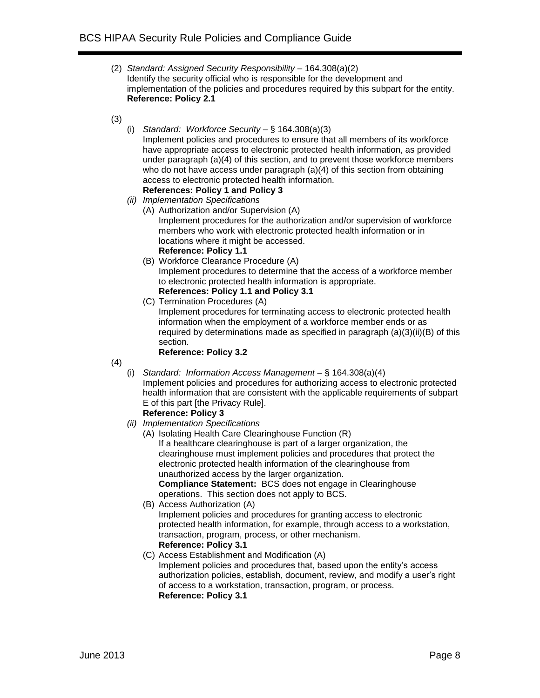- (2) *Standard: Assigned Security Responsibility* 164.308(a)(2) Identify the security official who is responsible for the development and implementation of the policies and procedures required by this subpart for the entity. **Reference: Policy 2.1**
- (3)
- (i) *Standard: Workforce Security* § 164.308(a)(3)
	- Implement policies and procedures to ensure that all members of its workforce have appropriate access to electronic protected health information, as provided under paragraph (a)(4) of this section, and to prevent those workforce members who do not have access under paragraph (a)(4) of this section from obtaining access to electronic protected health information.

### **References: Policy 1 and Policy 3**

- *(ii) Implementation Specifications*
	- (A) Authorization and/or Supervision (A) Implement procedures for the authorization and/or supervision of workforce members who work with electronic protected health information or in locations where it might be accessed. **Reference: Policy 1.1**
	- (B) Workforce Clearance Procedure (A) Implement procedures to determine that the access of a workforce member to electronic protected health information is appropriate. **References: Policy 1.1 and Policy 3.1**
	- (C) Termination Procedures (A) Implement procedures for terminating access to electronic protected health information when the employment of a workforce member ends or as required by determinations made as specified in paragraph  $(a)(3)(ii)(B)$  of this section.

#### **Reference: Policy 3.2**

- (4)
	- (i) *Standard: Information Access Management* § 164.308(a)(4) Implement policies and procedures for authorizing access to electronic protected health information that are consistent with the applicable requirements of subpart E of this part [the Privacy Rule].

#### **Reference: Policy 3**

- *(ii) Implementation Specifications*
	- (A) Isolating Health Care Clearinghouse Function (R) If a healthcare clearinghouse is part of a larger organization, the clearinghouse must implement policies and procedures that protect the electronic protected health information of the clearinghouse from unauthorized access by the larger organization. **Compliance Statement:** BCS does not engage in Clearinghouse operations. This section does not apply to BCS.
	- (B) Access Authorization (A) Implement policies and procedures for granting access to electronic protected health information, for example, through access to a workstation, transaction, program, process, or other mechanism. **Reference: Policy 3.1**
	- (C) Access Establishment and Modification (A) Implement policies and procedures that, based upon the entity's access authorization policies, establish, document, review, and modify a user's right of access to a workstation, transaction, program, or process. **Reference: Policy 3.1**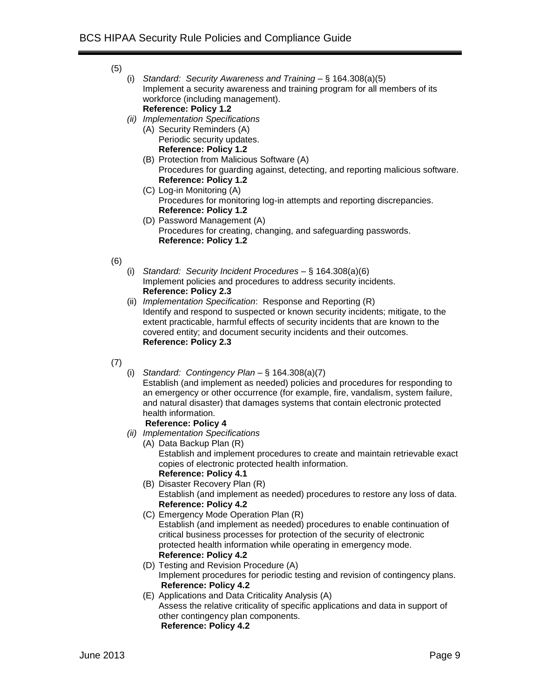#### (5)

- (i) *Standard: Security Awareness and Training* § 164.308(a)(5) Implement a security awareness and training program for all members of its workforce (including management). **Reference: Policy 1.2**
- *(ii) Implementation Specifications*
	- (A) Security Reminders (A) Periodic security updates. **Reference: Policy 1.2**
	- (B) Protection from Malicious Software (A) Procedures for guarding against, detecting, and reporting malicious software. **Reference: Policy 1.2**
	- (C) Log-in Monitoring (A) Procedures for monitoring log-in attempts and reporting discrepancies. **Reference: Policy 1.2**
	- (D) Password Management (A) Procedures for creating, changing, and safeguarding passwords. **Reference: Policy 1.2**

#### (6)

- (i) *Standard: Security Incident Procedures* § 164.308(a)(6) Implement policies and procedures to address security incidents. **Reference: Policy 2.3**
- (ii) *Implementation Specification*: Response and Reporting (R) Identify and respond to suspected or known security incidents; mitigate, to the extent practicable, harmful effects of security incidents that are known to the covered entity; and document security incidents and their outcomes. **Reference: Policy 2.3**

(7)

- (i) *Standard: Contingency Plan* § 164.308(a)(7) Establish (and implement as needed) policies and procedures for responding to an emergency or other occurrence (for example, fire, vandalism, system failure, and natural disaster) that damages systems that contain electronic protected health information. **Reference: Policy 4**
- *(ii) Implementation Specifications*
	- (A) Data Backup Plan (R) Establish and implement procedures to create and maintain retrievable exact copies of electronic protected health information. **Reference: Policy 4.1**
	- (B) Disaster Recovery Plan (R) Establish (and implement as needed) procedures to restore any loss of data. **Reference: Policy 4.2**
	- (C) Emergency Mode Operation Plan (R) Establish (and implement as needed) procedures to enable continuation of critical business processes for protection of the security of electronic protected health information while operating in emergency mode. **Reference: Policy 4.2**
	- (D) Testing and Revision Procedure (A) Implement procedures for periodic testing and revision of contingency plans. **Reference: Policy 4.2**
	- (E) Applications and Data Criticality Analysis (A) Assess the relative criticality of specific applications and data in support of other contingency plan components. **Reference: Policy 4.2**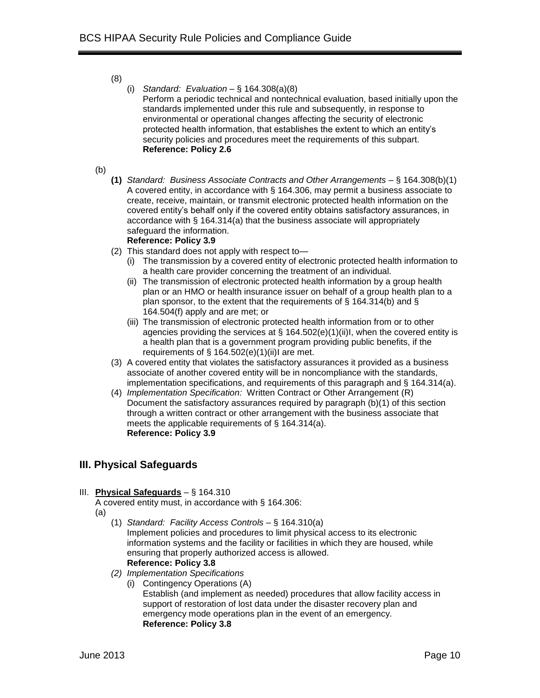- (8)
- (i) *Standard: Evaluation* § 164.308(a)(8) Perform a periodic technical and nontechnical evaluation, based initially upon the standards implemented under this rule and subsequently, in response to environmental or operational changes affecting the security of electronic protected health information, that establishes the extent to which an entity's security policies and procedures meet the requirements of this subpart. **Reference: Policy 2.6**
- (b)
- **(1)** *Standard: Business Associate Contracts and Other Arrangements* § 164.308(b)(1) A covered entity, in accordance with § 164.306, may permit a business associate to create, receive, maintain, or transmit electronic protected health information on the covered entity's behalf only if the covered entity obtains satisfactory assurances, in accordance with § 164.314(a) that the business associate will appropriately safeguard the information.

#### **Reference: Policy 3.9**

- (2) This standard does not apply with respect to—
	- (i) The transmission by a covered entity of electronic protected health information to a health care provider concerning the treatment of an individual.
	- (ii) The transmission of electronic protected health information by a group health plan or an HMO or health insurance issuer on behalf of a group health plan to a plan sponsor, to the extent that the requirements of § 164.314(b) and § 164.504(f) apply and are met; or
	- (iii) The transmission of electronic protected health information from or to other agencies providing the services at  $\S$  164.502(e)(1)(ii)l, when the covered entity is a health plan that is a government program providing public benefits, if the requirements of  $\S$  164.502(e)(1)(ii)I are met.
- (3) A covered entity that violates the satisfactory assurances it provided as a business associate of another covered entity will be in noncompliance with the standards, implementation specifications, and requirements of this paragraph and § 164.314(a).
- (4) *Implementation Specification:* Written Contract or Other Arrangement (R) Document the satisfactory assurances required by paragraph (b)(1) of this section through a written contract or other arrangement with the business associate that meets the applicable requirements of § 164.314(a). **Reference: Policy 3.9**

### **III. Physical Safeguards**

#### III. **Physical Safeguards** – § 164.310

A covered entity must, in accordance with § 164.306:

- (a)
	- (1) *Standard: Facility Access Controls* § 164.310(a) Implement policies and procedures to limit physical access to its electronic information systems and the facility or facilities in which they are housed, while ensuring that properly authorized access is allowed. **Reference: Policy 3.8**
	- *(2) Implementation Specifications*
		- (i) Contingency Operations (A) Establish (and implement as needed) procedures that allow facility access in support of restoration of lost data under the disaster recovery plan and emergency mode operations plan in the event of an emergency. **Reference: Policy 3.8**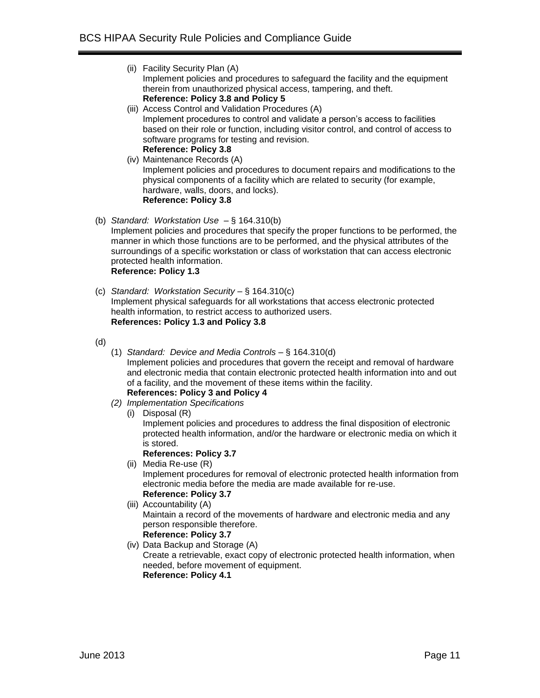- (ii) Facility Security Plan (A) Implement policies and procedures to safeguard the facility and the equipment therein from unauthorized physical access, tampering, and theft. **Reference: Policy 3.8 and Policy 5**
- (iii) Access Control and Validation Procedures (A) Implement procedures to control and validate a person's access to facilities based on their role or function, including visitor control, and control of access to software programs for testing and revision. **Reference: Policy 3.8**
- (iv) Maintenance Records (A) Implement policies and procedures to document repairs and modifications to the physical components of a facility which are related to security (for example, hardware, walls, doors, and locks). **Reference: Policy 3.8**
- (b) *Standard: Workstation Use* § 164.310(b) Implement policies and procedures that specify the proper functions to be performed, the manner in which those functions are to be performed, and the physical attributes of the surroundings of a specific workstation or class of workstation that can access electronic protected health information. **Reference: Policy 1.3**
- (c) *Standard: Workstation Security* § 164.310(c) Implement physical safeguards for all workstations that access electronic protected health information, to restrict access to authorized users. **References: Policy 1.3 and Policy 3.8**
- (d)
- (1) *Standard: Device and Media Controls* § 164.310(d)
	- Implement policies and procedures that govern the receipt and removal of hardware and electronic media that contain electronic protected health information into and out of a facility, and the movement of these items within the facility.
- **References: Policy 3 and Policy 4**
- *(2) Implementation Specifications*
	- (i) Disposal (R) Implement policies and procedures to address the final disposition of electronic protected health information, and/or the hardware or electronic media on which it is stored.
		- **References: Policy 3.7**
		- (ii) Media Re-use (R)

Implement procedures for removal of electronic protected health information from electronic media before the media are made available for re-use. **Reference: Policy 3.7**

(iii) Accountability (A)

Maintain a record of the movements of hardware and electronic media and any person responsible therefore.

#### **Reference: Policy 3.7**

(iv) Data Backup and Storage (A)

Create a retrievable, exact copy of electronic protected health information, when needed, before movement of equipment.

**Reference: Policy 4.1**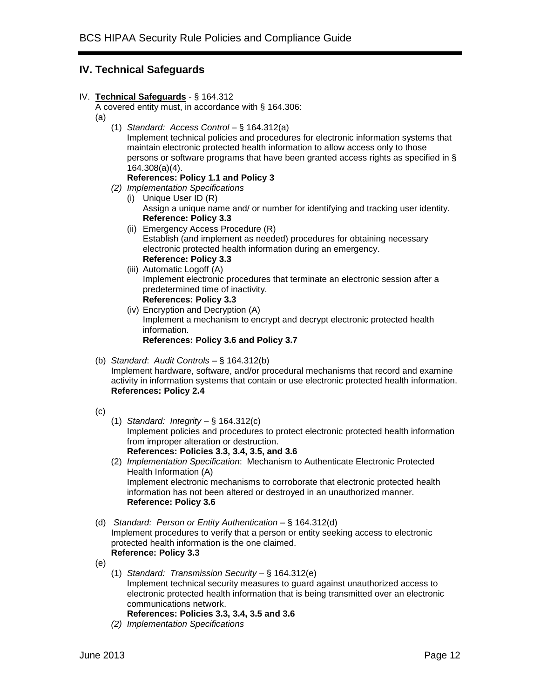### **IV. Technical Safeguards**

#### IV. **Technical Safeguards** - § 164.312

A covered entity must, in accordance with § 164.306:

- (a)
	- (1) *Standard: Access Control* § 164.312(a) Implement technical policies and procedures for electronic information systems that maintain electronic protected health information to allow access only to those persons or software programs that have been granted access rights as specified in § 164.308(a)(4).

#### **References: Policy 1.1 and Policy 3**

- *(2) Implementation Specifications*
	- (i) Unique User ID (R) Assign a unique name and/ or number for identifying and tracking user identity. **Reference: Policy 3.3**
	- (ii) Emergency Access Procedure (R) Establish (and implement as needed) procedures for obtaining necessary electronic protected health information during an emergency. **Reference: Policy 3.3**
	- (iii) Automatic Logoff (A) Implement electronic procedures that terminate an electronic session after a predetermined time of inactivity. **References: Policy 3.3**
	- (iv) Encryption and Decryption (A) Implement a mechanism to encrypt and decrypt electronic protected health information.

#### **References: Policy 3.6 and Policy 3.7**

- (b) *Standard*: *Audit Controls* § 164.312(b) Implement hardware, software, and/or procedural mechanisms that record and examine activity in information systems that contain or use electronic protected health information.
	- **References: Policy 2.4**

(c)

- (1) *Standard: Integrity* § 164.312(c) Implement policies and procedures to protect electronic protected health information from improper alteration or destruction. **References: Policies 3.3, 3.4, 3.5, and 3.6**
- (2) *Implementation Specification*: Mechanism to Authenticate Electronic Protected Health Information (A) Implement electronic mechanisms to corroborate that electronic protected health information has not been altered or destroyed in an unauthorized manner. **Reference: Policy 3.6**
- (d) *Standard: Person or Entity Authentication* § 164.312(d) Implement procedures to verify that a person or entity seeking access to electronic protected health information is the one claimed. **Reference: Policy 3.3**
- (e)
	- (1) *Standard: Transmission Security* § 164.312(e) Implement technical security measures to guard against unauthorized access to electronic protected health information that is being transmitted over an electronic communications network. **References: Policies 3.3, 3.4, 3.5 and 3.6**
	- *(2) Implementation Specifications*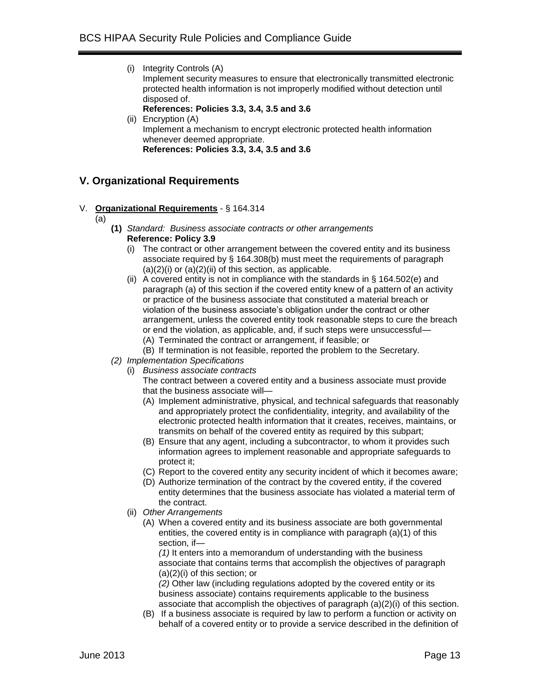(i) Integrity Controls (A)

Implement security measures to ensure that electronically transmitted electronic protected health information is not improperly modified without detection until disposed of.

- **References: Policies 3.3, 3.4, 3.5 and 3.6**
- (ii) Encryption (A) Implement a mechanism to encrypt electronic protected health information whenever deemed appropriate. **References: Policies 3.3, 3.4, 3.5 and 3.6**

### **V. Organizational Requirements**

#### V. **Organizational Requirements** - § 164.314

- (a)
	- **(1)** *Standard: Business associate contracts or other arrangements* **Reference: Policy 3.9**
		- (i) The contract or other arrangement between the covered entity and its business associate required by § 164.308(b) must meet the requirements of paragraph  $(a)(2)(i)$  or  $(a)(2)(ii)$  of this section, as applicable.
		- (ii) A covered entity is not in compliance with the standards in § 164.502(e) and paragraph (a) of this section if the covered entity knew of a pattern of an activity or practice of the business associate that constituted a material breach or violation of the business associate's obligation under the contract or other arrangement, unless the covered entity took reasonable steps to cure the breach or end the violation, as applicable, and, if such steps were unsuccessful—
			- (A) Terminated the contract or arrangement, if feasible; or
			- (B) If termination is not feasible, reported the problem to the Secretary.
	- *(2) Implementation Specifications*
		- (i) *Business associate contracts*

The contract between a covered entity and a business associate must provide that the business associate will—

- (A) Implement administrative, physical, and technical safeguards that reasonably and appropriately protect the confidentiality, integrity, and availability of the electronic protected health information that it creates, receives, maintains, or transmits on behalf of the covered entity as required by this subpart;
- (B) Ensure that any agent, including a subcontractor, to whom it provides such information agrees to implement reasonable and appropriate safeguards to protect it;
- (C) Report to the covered entity any security incident of which it becomes aware;
- (D) Authorize termination of the contract by the covered entity, if the covered entity determines that the business associate has violated a material term of the contract.
- (ii) *Other Arrangements*
	- (A) When a covered entity and its business associate are both governmental entities, the covered entity is in compliance with paragraph (a)(1) of this section, if—

*(1)* It enters into a memorandum of understanding with the business associate that contains terms that accomplish the objectives of paragraph (a)(2)(i) of this section; or

*(2)* Other law (including regulations adopted by the covered entity or its business associate) contains requirements applicable to the business associate that accomplish the objectives of paragraph (a)(2)(i) of this section.

(B) If a business associate is required by law to perform a function or activity on behalf of a covered entity or to provide a service described in the definition of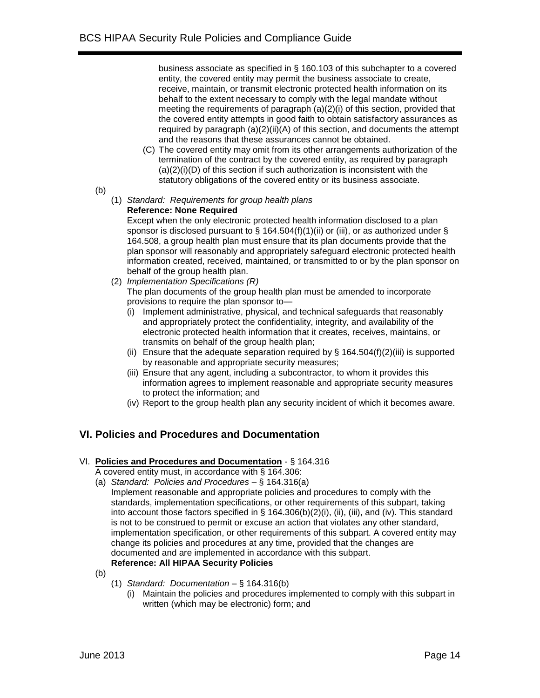business associate as specified in § 160.103 of this subchapter to a covered entity, the covered entity may permit the business associate to create, receive, maintain, or transmit electronic protected health information on its behalf to the extent necessary to comply with the legal mandate without meeting the requirements of paragraph  $(a)(2)(i)$  of this section, provided that the covered entity attempts in good faith to obtain satisfactory assurances as required by paragraph (a)(2)(ii)(A) of this section, and documents the attempt and the reasons that these assurances cannot be obtained.

- (C) The covered entity may omit from its other arrangements authorization of the termination of the contract by the covered entity, as required by paragraph  $(a)(2)(i)(D)$  of this section if such authorization is inconsistent with the statutory obligations of the covered entity or its business associate.
- (b)

#### (1) *Standard: Requirements for group health plans* **Reference: None Required**

Except when the only electronic protected health information disclosed to a plan sponsor is disclosed pursuant to § 164.504(f)(1)(ii) or (iii), or as authorized under § 164.508, a group health plan must ensure that its plan documents provide that the plan sponsor will reasonably and appropriately safeguard electronic protected health information created, received, maintained, or transmitted to or by the plan sponsor on behalf of the group health plan.

- (2) *Implementation Specifications (R)* The plan documents of the group health plan must be amended to incorporate provisions to require the plan sponsor to—
	- (i) Implement administrative, physical, and technical safeguards that reasonably and appropriately protect the confidentiality, integrity, and availability of the electronic protected health information that it creates, receives, maintains, or transmits on behalf of the group health plan;
	- (ii) Ensure that the adequate separation required by  $\S$  164.504(f)(2)(iii) is supported by reasonable and appropriate security measures;
	- (iii) Ensure that any agent, including a subcontractor, to whom it provides this information agrees to implement reasonable and appropriate security measures to protect the information; and
	- (iv) Report to the group health plan any security incident of which it becomes aware.

### **VI. Policies and Procedures and Documentation**

#### VI. **Policies and Procedures and Documentation** - § 164.316

A covered entity must, in accordance with § 164.306:

- (a) *Standard: Policies and Procedures* § 164.316(a) Implement reasonable and appropriate policies and procedures to comply with the standards, implementation specifications, or other requirements of this subpart, taking into account those factors specified in § 164.306(b)(2)(i), (ii), (iii), and (iv). This standard is not to be construed to permit or excuse an action that violates any other standard, implementation specification, or other requirements of this subpart. A covered entity may change its policies and procedures at any time, provided that the changes are documented and are implemented in accordance with this subpart. **Reference: All HIPAA Security Policies**
- (b)
	- (1) *Standard: Documentation* § 164.316(b)
		- (i) Maintain the policies and procedures implemented to comply with this subpart in written (which may be electronic) form; and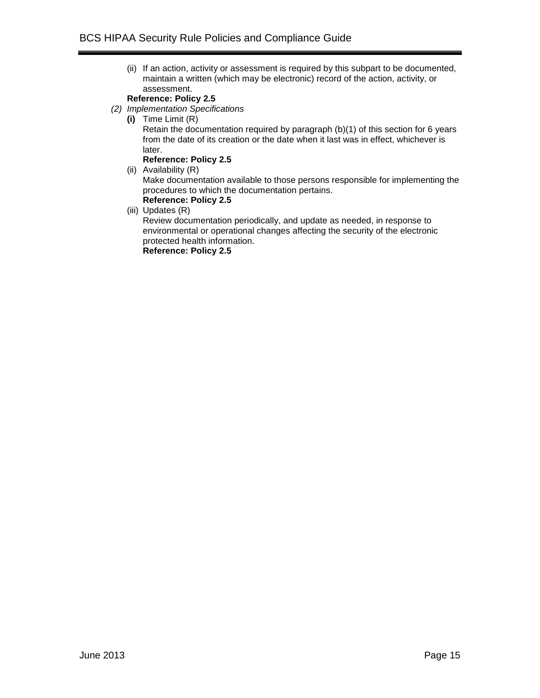(ii) If an action, activity or assessment is required by this subpart to be documented, maintain a written (which may be electronic) record of the action, activity, or assessment.

#### **Reference: Policy 2.5**

- *(2) Implementation Specifications*
	- **(i)** Time Limit (R)

Retain the documentation required by paragraph (b)(1) of this section for 6 years from the date of its creation or the date when it last was in effect, whichever is later.

#### **Reference: Policy 2.5**

(ii) Availability (R)

Make documentation available to those persons responsible for implementing the procedures to which the documentation pertains.

- **Reference: Policy 2.5**
- (iii) Updates (R)

Review documentation periodically, and update as needed, in response to environmental or operational changes affecting the security of the electronic protected health information.

**Reference: Policy 2.5**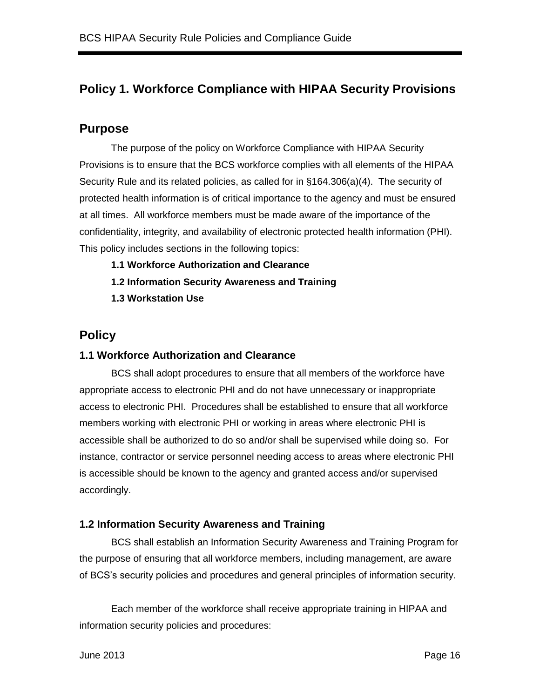# **Policy 1. Workforce Compliance with HIPAA Security Provisions**

## **Purpose**

The purpose of the policy on Workforce Compliance with HIPAA Security Provisions is to ensure that the BCS workforce complies with all elements of the HIPAA Security Rule and its related policies, as called for in §164.306(a)(4). The security of protected health information is of critical importance to the agency and must be ensured at all times. All workforce members must be made aware of the importance of the confidentiality, integrity, and availability of electronic protected health information (PHI). This policy includes sections in the following topics:

- **1.1 Workforce Authorization and Clearance**
- **1.2 Information Security Awareness and Training**
- **1.3 Workstation Use**

# **Policy**

#### **1.1 Workforce Authorization and Clearance**

BCS shall adopt procedures to ensure that all members of the workforce have appropriate access to electronic PHI and do not have unnecessary or inappropriate access to electronic PHI. Procedures shall be established to ensure that all workforce members working with electronic PHI or working in areas where electronic PHI is accessible shall be authorized to do so and/or shall be supervised while doing so. For instance, contractor or service personnel needing access to areas where electronic PHI is accessible should be known to the agency and granted access and/or supervised accordingly.

#### **1.2 Information Security Awareness and Training**

BCS shall establish an Information Security Awareness and Training Program for the purpose of ensuring that all workforce members, including management, are aware of BCS's security policies and procedures and general principles of information security.

Each member of the workforce shall receive appropriate training in HIPAA and information security policies and procedures: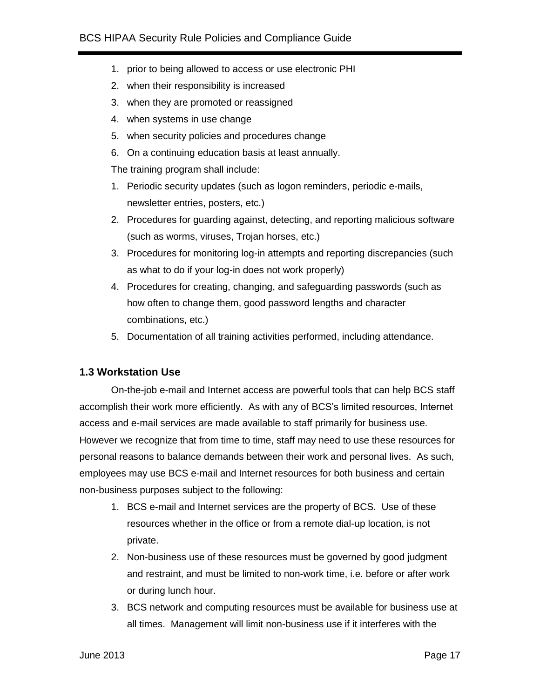- 1. prior to being allowed to access or use electronic PHI
- 2. when their responsibility is increased
- 3. when they are promoted or reassigned
- 4. when systems in use change
- 5. when security policies and procedures change
- 6. On a continuing education basis at least annually.

The training program shall include:

- 1. Periodic security updates (such as logon reminders, periodic e-mails, newsletter entries, posters, etc.)
- 2. Procedures for guarding against, detecting, and reporting malicious software (such as worms, viruses, Trojan horses, etc.)
- 3. Procedures for monitoring log-in attempts and reporting discrepancies (such as what to do if your log-in does not work properly)
- 4. Procedures for creating, changing, and safeguarding passwords (such as how often to change them, good password lengths and character combinations, etc.)
- 5. Documentation of all training activities performed, including attendance.

### **1.3 Workstation Use**

On-the-job e-mail and Internet access are powerful tools that can help BCS staff accomplish their work more efficiently. As with any of BCS's limited resources, Internet access and e-mail services are made available to staff primarily for business use. However we recognize that from time to time, staff may need to use these resources for personal reasons to balance demands between their work and personal lives. As such, employees may use BCS e-mail and Internet resources for both business and certain non-business purposes subject to the following:

- 1. BCS e-mail and Internet services are the property of BCS. Use of these resources whether in the office or from a remote dial-up location, is not private.
- 2. Non-business use of these resources must be governed by good judgment and restraint, and must be limited to non-work time, i.e. before or after work or during lunch hour.
- 3. BCS network and computing resources must be available for business use at all times. Management will limit non-business use if it interferes with the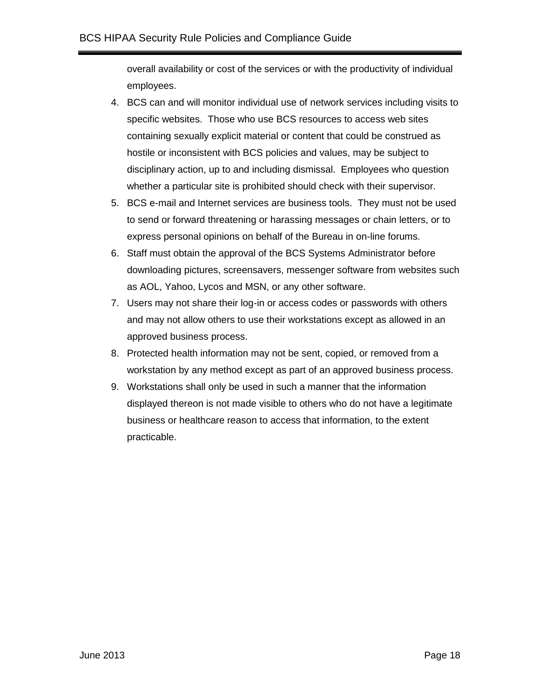overall availability or cost of the services or with the productivity of individual employees.

- 4. BCS can and will monitor individual use of network services including visits to specific websites. Those who use BCS resources to access web sites containing sexually explicit material or content that could be construed as hostile or inconsistent with BCS policies and values, may be subject to disciplinary action, up to and including dismissal. Employees who question whether a particular site is prohibited should check with their supervisor.
- 5. BCS e-mail and Internet services are business tools. They must not be used to send or forward threatening or harassing messages or chain letters, or to express personal opinions on behalf of the Bureau in on-line forums.
- 6. Staff must obtain the approval of the BCS Systems Administrator before downloading pictures, screensavers, messenger software from websites such as AOL, Yahoo, Lycos and MSN, or any other software.
- 7. Users may not share their log-in or access codes or passwords with others and may not allow others to use their workstations except as allowed in an approved business process.
- 8. Protected health information may not be sent, copied, or removed from a workstation by any method except as part of an approved business process.
- 9. Workstations shall only be used in such a manner that the information displayed thereon is not made visible to others who do not have a legitimate business or healthcare reason to access that information, to the extent practicable.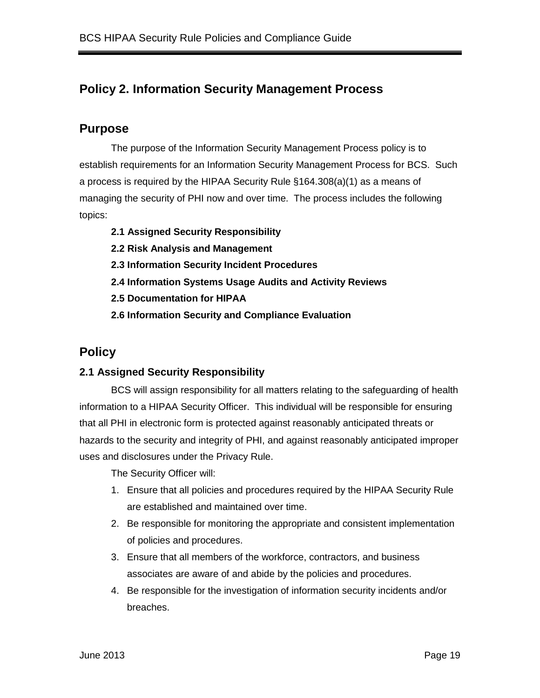# **Policy 2. Information Security Management Process**

## **Purpose**

The purpose of the Information Security Management Process policy is to establish requirements for an Information Security Management Process for BCS. Such a process is required by the HIPAA Security Rule §164.308(a)(1) as a means of managing the security of PHI now and over time. The process includes the following topics:

- **2.1 Assigned Security Responsibility**
- **2.2 Risk Analysis and Management**
- **2.3 Information Security Incident Procedures**
- **2.4 Information Systems Usage Audits and Activity Reviews**
- **2.5 Documentation for HIPAA**
- **2.6 Information Security and Compliance Evaluation**

### **Policy**

#### **2.1 Assigned Security Responsibility**

BCS will assign responsibility for all matters relating to the safeguarding of health information to a HIPAA Security Officer. This individual will be responsible for ensuring that all PHI in electronic form is protected against reasonably anticipated threats or hazards to the security and integrity of PHI, and against reasonably anticipated improper uses and disclosures under the Privacy Rule.

The Security Officer will:

- 1. Ensure that all policies and procedures required by the HIPAA Security Rule are established and maintained over time.
- 2. Be responsible for monitoring the appropriate and consistent implementation of policies and procedures.
- 3. Ensure that all members of the workforce, contractors, and business associates are aware of and abide by the policies and procedures.
- 4. Be responsible for the investigation of information security incidents and/or breaches.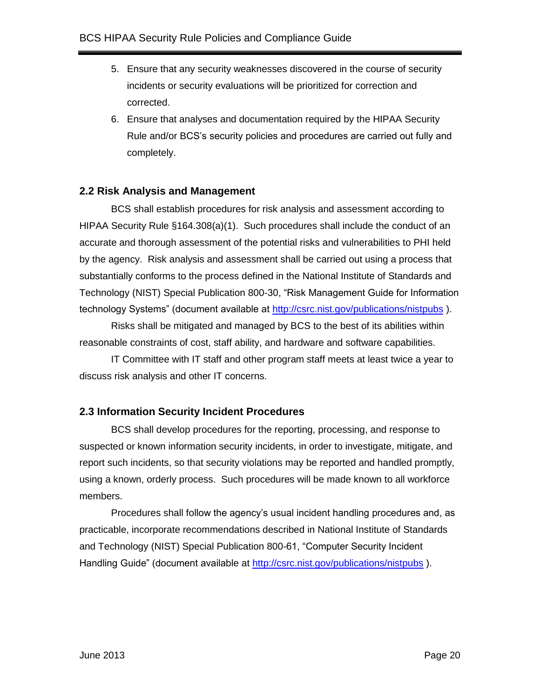- 5. Ensure that any security weaknesses discovered in the course of security incidents or security evaluations will be prioritized for correction and corrected.
- 6. Ensure that analyses and documentation required by the HIPAA Security Rule and/or BCS's security policies and procedures are carried out fully and completely.

#### **2.2 Risk Analysis and Management**

BCS shall establish procedures for risk analysis and assessment according to HIPAA Security Rule §164.308(a)(1). Such procedures shall include the conduct of an accurate and thorough assessment of the potential risks and vulnerabilities to PHI held by the agency. Risk analysis and assessment shall be carried out using a process that substantially conforms to the process defined in the National Institute of Standards and Technology (NIST) Special Publication 800-30, "Risk Management Guide for Information technology Systems" (document available at<http://csrc.nist.gov/publications/nistpubs> ).

Risks shall be mitigated and managed by BCS to the best of its abilities within reasonable constraints of cost, staff ability, and hardware and software capabilities.

IT Committee with IT staff and other program staff meets at least twice a year to discuss risk analysis and other IT concerns.

### **2.3 Information Security Incident Procedures**

BCS shall develop procedures for the reporting, processing, and response to suspected or known information security incidents, in order to investigate, mitigate, and report such incidents, so that security violations may be reported and handled promptly, using a known, orderly process. Such procedures will be made known to all workforce members.

Procedures shall follow the agency's usual incident handling procedures and, as practicable, incorporate recommendations described in National Institute of Standards and Technology (NIST) Special Publication 800-61, "Computer Security Incident Handling Guide" (document available at<http://csrc.nist.gov/publications/nistpubs>).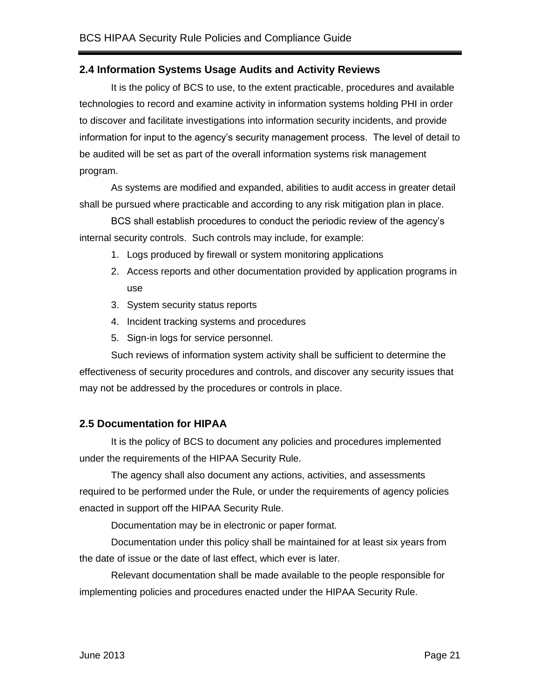#### **2.4 Information Systems Usage Audits and Activity Reviews**

It is the policy of BCS to use, to the extent practicable, procedures and available technologies to record and examine activity in information systems holding PHI in order to discover and facilitate investigations into information security incidents, and provide information for input to the agency's security management process. The level of detail to be audited will be set as part of the overall information systems risk management program.

As systems are modified and expanded, abilities to audit access in greater detail shall be pursued where practicable and according to any risk mitigation plan in place.

BCS shall establish procedures to conduct the periodic review of the agency's internal security controls. Such controls may include, for example:

- 1. Logs produced by firewall or system monitoring applications
- 2. Access reports and other documentation provided by application programs in use
- 3. System security status reports
- 4. Incident tracking systems and procedures
- 5. Sign-in logs for service personnel.

Such reviews of information system activity shall be sufficient to determine the effectiveness of security procedures and controls, and discover any security issues that may not be addressed by the procedures or controls in place.

#### **2.5 Documentation for HIPAA**

It is the policy of BCS to document any policies and procedures implemented under the requirements of the HIPAA Security Rule.

The agency shall also document any actions, activities, and assessments required to be performed under the Rule, or under the requirements of agency policies enacted in support off the HIPAA Security Rule.

Documentation may be in electronic or paper format.

Documentation under this policy shall be maintained for at least six years from the date of issue or the date of last effect, which ever is later.

Relevant documentation shall be made available to the people responsible for implementing policies and procedures enacted under the HIPAA Security Rule.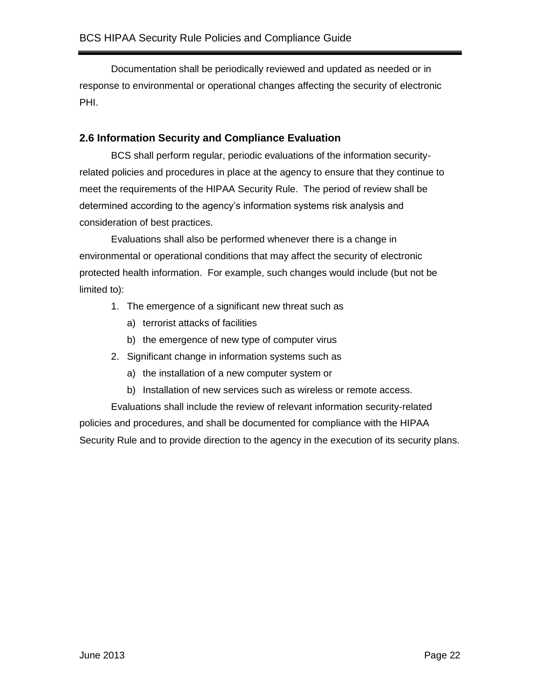Documentation shall be periodically reviewed and updated as needed or in response to environmental or operational changes affecting the security of electronic PHI.

### **2.6 Information Security and Compliance Evaluation**

BCS shall perform regular, periodic evaluations of the information securityrelated policies and procedures in place at the agency to ensure that they continue to meet the requirements of the HIPAA Security Rule. The period of review shall be determined according to the agency's information systems risk analysis and consideration of best practices.

Evaluations shall also be performed whenever there is a change in environmental or operational conditions that may affect the security of electronic protected health information. For example, such changes would include (but not be limited to):

- 1. The emergence of a significant new threat such as
	- a) terrorist attacks of facilities
	- b) the emergence of new type of computer virus
- 2. Significant change in information systems such as
	- a) the installation of a new computer system or
	- b) Installation of new services such as wireless or remote access.

Evaluations shall include the review of relevant information security-related policies and procedures, and shall be documented for compliance with the HIPAA Security Rule and to provide direction to the agency in the execution of its security plans.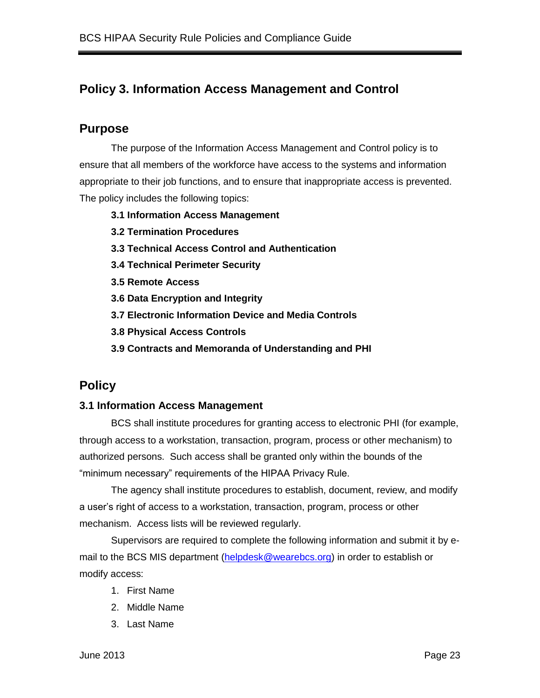# **Policy 3. Information Access Management and Control**

# **Purpose**

The purpose of the Information Access Management and Control policy is to ensure that all members of the workforce have access to the systems and information appropriate to their job functions, and to ensure that inappropriate access is prevented. The policy includes the following topics:

#### **3.1 Information Access Management**

- **3.2 Termination Procedures**
- **3.3 Technical Access Control and Authentication**
- **3.4 Technical Perimeter Security**
- **3.5 Remote Access**
- **3.6 Data Encryption and Integrity**
- **3.7 Electronic Information Device and Media Controls**
- **3.8 Physical Access Controls**
- **3.9 Contracts and Memoranda of Understanding and PHI**

# **Policy**

#### **3.1 Information Access Management**

BCS shall institute procedures for granting access to electronic PHI (for example, through access to a workstation, transaction, program, process or other mechanism) to authorized persons. Such access shall be granted only within the bounds of the "minimum necessary" requirements of the HIPAA Privacy Rule.

The agency shall institute procedures to establish, document, review, and modify a user's right of access to a workstation, transaction, program, process or other mechanism. Access lists will be reviewed regularly.

Supervisors are required to complete the following information and submit it by e-mail to the BCS MIS department [\(helpdesk@wearebcs.org\)](mailto:helpdesk@wearebcs.org) in order to establish or modify access:

- 1. First Name
- 2. Middle Name
- 3. Last Name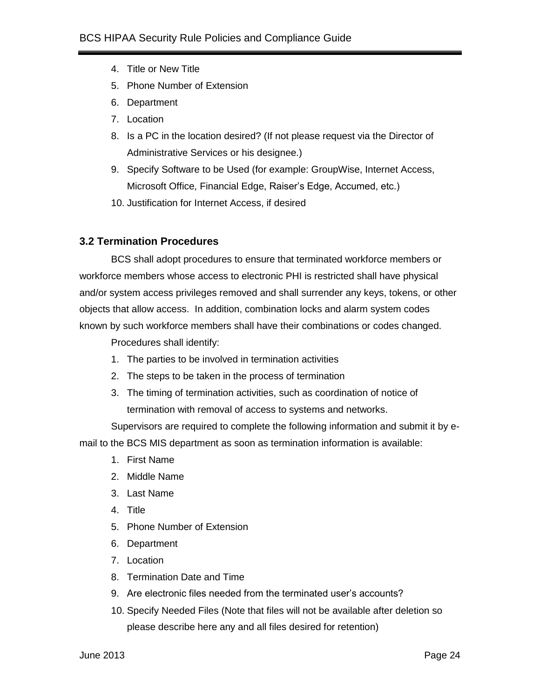- 4. Title or New Title
- 5. Phone Number of Extension
- 6. Department
- 7. Location
- 8. Is a PC in the location desired? (If not please request via the Director of Administrative Services or his designee.)
- 9. Specify Software to be Used (for example: GroupWise, Internet Access, Microsoft Office, Financial Edge, Raiser's Edge, Accumed, etc.)
- 10. Justification for Internet Access, if desired

### **3.2 Termination Procedures**

BCS shall adopt procedures to ensure that terminated workforce members or workforce members whose access to electronic PHI is restricted shall have physical and/or system access privileges removed and shall surrender any keys, tokens, or other objects that allow access. In addition, combination locks and alarm system codes known by such workforce members shall have their combinations or codes changed.

Procedures shall identify:

- 1. The parties to be involved in termination activities
- 2. The steps to be taken in the process of termination
- 3. The timing of termination activities, such as coordination of notice of termination with removal of access to systems and networks.

Supervisors are required to complete the following information and submit it by email to the BCS MIS department as soon as termination information is available:

- 1. First Name
- 2. Middle Name
- 3. Last Name
- 4. Title
- 5. Phone Number of Extension
- 6. Department
- 7. Location
- 8. Termination Date and Time
- 9. Are electronic files needed from the terminated user's accounts?
- 10. Specify Needed Files (Note that files will not be available after deletion so please describe here any and all files desired for retention)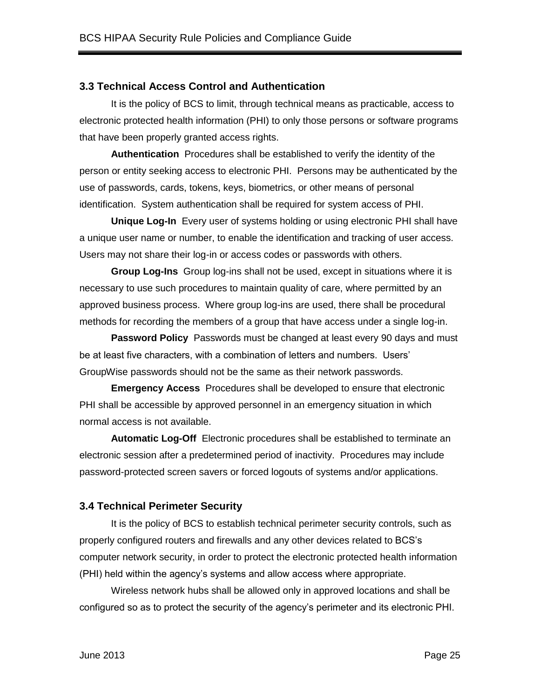#### **3.3 Technical Access Control and Authentication**

It is the policy of BCS to limit, through technical means as practicable, access to electronic protected health information (PHI) to only those persons or software programs that have been properly granted access rights.

**Authentication** Procedures shall be established to verify the identity of the person or entity seeking access to electronic PHI. Persons may be authenticated by the use of passwords, cards, tokens, keys, biometrics, or other means of personal identification. System authentication shall be required for system access of PHI.

**Unique Log-In** Every user of systems holding or using electronic PHI shall have a unique user name or number, to enable the identification and tracking of user access. Users may not share their log-in or access codes or passwords with others.

**Group Log-Ins** Group log-ins shall not be used, except in situations where it is necessary to use such procedures to maintain quality of care, where permitted by an approved business process. Where group log-ins are used, there shall be procedural methods for recording the members of a group that have access under a single log-in.

**Password Policy** Passwords must be changed at least every 90 days and must be at least five characters, with a combination of letters and numbers. Users' GroupWise passwords should not be the same as their network passwords.

**Emergency Access** Procedures shall be developed to ensure that electronic PHI shall be accessible by approved personnel in an emergency situation in which normal access is not available.

**Automatic Log-Off** Electronic procedures shall be established to terminate an electronic session after a predetermined period of inactivity. Procedures may include password-protected screen savers or forced logouts of systems and/or applications.

#### **3.4 Technical Perimeter Security**

It is the policy of BCS to establish technical perimeter security controls, such as properly configured routers and firewalls and any other devices related to BCS's computer network security, in order to protect the electronic protected health information (PHI) held within the agency's systems and allow access where appropriate.

Wireless network hubs shall be allowed only in approved locations and shall be configured so as to protect the security of the agency's perimeter and its electronic PHI.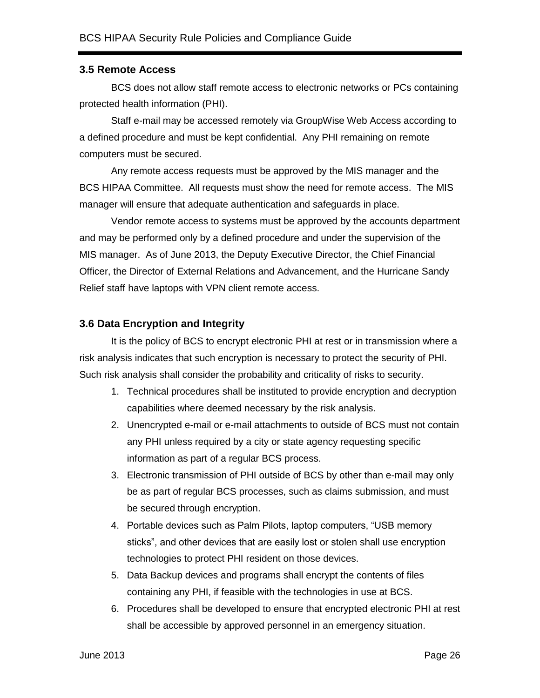#### **3.5 Remote Access**

BCS does not allow staff remote access to electronic networks or PCs containing protected health information (PHI).

Staff e-mail may be accessed remotely via GroupWise Web Access according to a defined procedure and must be kept confidential. Any PHI remaining on remote computers must be secured.

Any remote access requests must be approved by the MIS manager and the BCS HIPAA Committee. All requests must show the need for remote access. The MIS manager will ensure that adequate authentication and safeguards in place.

Vendor remote access to systems must be approved by the accounts department and may be performed only by a defined procedure and under the supervision of the MIS manager. As of June 2013, the Deputy Executive Director, the Chief Financial Officer, the Director of External Relations and Advancement, and the Hurricane Sandy Relief staff have laptops with VPN client remote access.

#### **3.6 Data Encryption and Integrity**

It is the policy of BCS to encrypt electronic PHI at rest or in transmission where a risk analysis indicates that such encryption is necessary to protect the security of PHI. Such risk analysis shall consider the probability and criticality of risks to security.

- 1. Technical procedures shall be instituted to provide encryption and decryption capabilities where deemed necessary by the risk analysis.
- 2. Unencrypted e-mail or e-mail attachments to outside of BCS must not contain any PHI unless required by a city or state agency requesting specific information as part of a regular BCS process.
- 3. Electronic transmission of PHI outside of BCS by other than e-mail may only be as part of regular BCS processes, such as claims submission, and must be secured through encryption.
- 4. Portable devices such as Palm Pilots, laptop computers, "USB memory sticks", and other devices that are easily lost or stolen shall use encryption technologies to protect PHI resident on those devices.
- 5. Data Backup devices and programs shall encrypt the contents of files containing any PHI, if feasible with the technologies in use at BCS.
- 6. Procedures shall be developed to ensure that encrypted electronic PHI at rest shall be accessible by approved personnel in an emergency situation.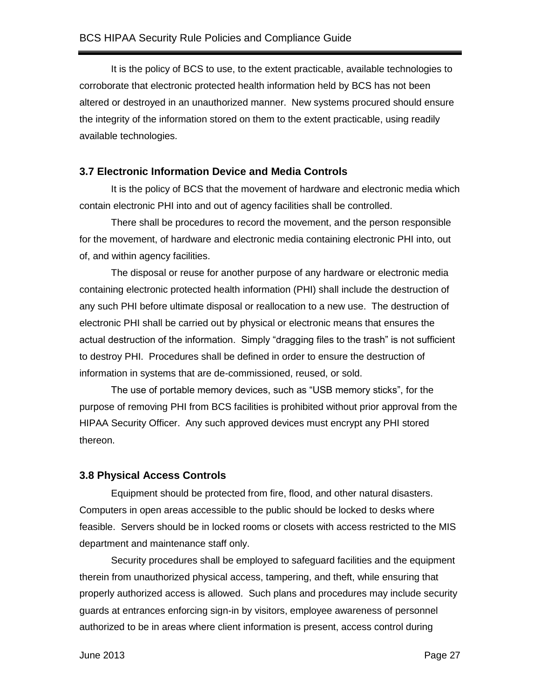It is the policy of BCS to use, to the extent practicable, available technologies to corroborate that electronic protected health information held by BCS has not been altered or destroyed in an unauthorized manner. New systems procured should ensure the integrity of the information stored on them to the extent practicable, using readily available technologies.

#### **3.7 Electronic Information Device and Media Controls**

It is the policy of BCS that the movement of hardware and electronic media which contain electronic PHI into and out of agency facilities shall be controlled.

There shall be procedures to record the movement, and the person responsible for the movement, of hardware and electronic media containing electronic PHI into, out of, and within agency facilities.

The disposal or reuse for another purpose of any hardware or electronic media containing electronic protected health information (PHI) shall include the destruction of any such PHI before ultimate disposal or reallocation to a new use. The destruction of electronic PHI shall be carried out by physical or electronic means that ensures the actual destruction of the information. Simply "dragging files to the trash" is not sufficient to destroy PHI. Procedures shall be defined in order to ensure the destruction of information in systems that are de-commissioned, reused, or sold.

The use of portable memory devices, such as "USB memory sticks", for the purpose of removing PHI from BCS facilities is prohibited without prior approval from the HIPAA Security Officer. Any such approved devices must encrypt any PHI stored thereon.

### **3.8 Physical Access Controls**

Equipment should be protected from fire, flood, and other natural disasters. Computers in open areas accessible to the public should be locked to desks where feasible. Servers should be in locked rooms or closets with access restricted to the MIS department and maintenance staff only.

Security procedures shall be employed to safeguard facilities and the equipment therein from unauthorized physical access, tampering, and theft, while ensuring that properly authorized access is allowed. Such plans and procedures may include security guards at entrances enforcing sign-in by visitors, employee awareness of personnel authorized to be in areas where client information is present, access control during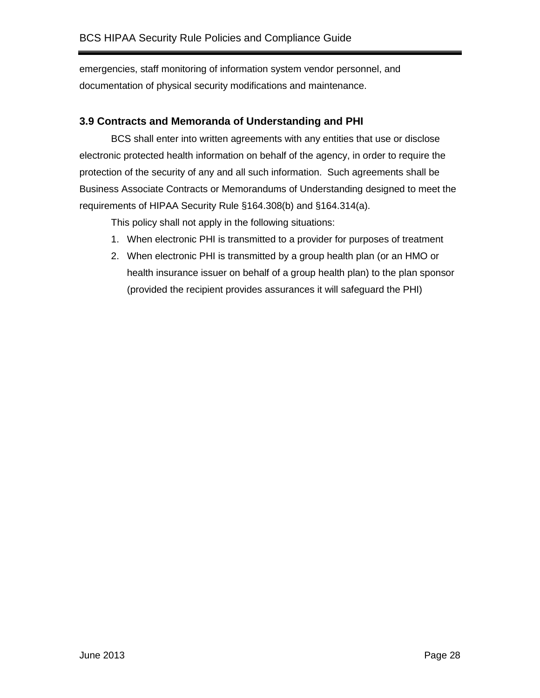emergencies, staff monitoring of information system vendor personnel, and documentation of physical security modifications and maintenance.

### **3.9 Contracts and Memoranda of Understanding and PHI**

BCS shall enter into written agreements with any entities that use or disclose electronic protected health information on behalf of the agency, in order to require the protection of the security of any and all such information. Such agreements shall be Business Associate Contracts or Memorandums of Understanding designed to meet the requirements of HIPAA Security Rule §164.308(b) and §164.314(a).

This policy shall not apply in the following situations:

- 1. When electronic PHI is transmitted to a provider for purposes of treatment
- 2. When electronic PHI is transmitted by a group health plan (or an HMO or health insurance issuer on behalf of a group health plan) to the plan sponsor (provided the recipient provides assurances it will safeguard the PHI)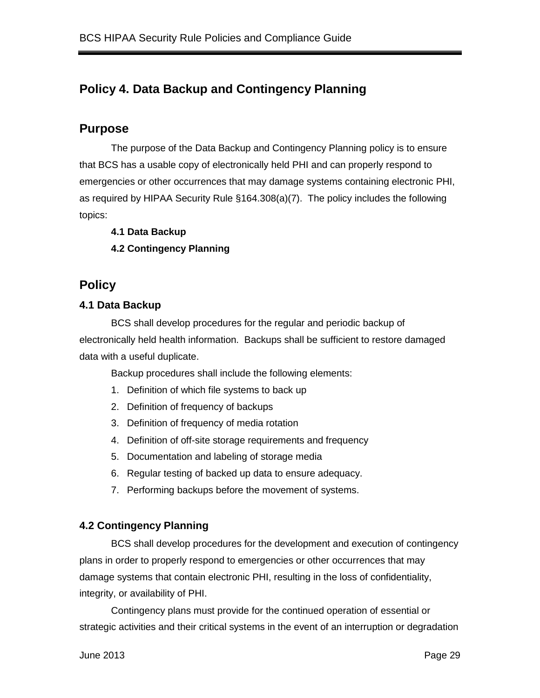# **Policy 4. Data Backup and Contingency Planning**

# **Purpose**

The purpose of the Data Backup and Contingency Planning policy is to ensure that BCS has a usable copy of electronically held PHI and can properly respond to emergencies or other occurrences that may damage systems containing electronic PHI, as required by HIPAA Security Rule §164.308(a)(7). The policy includes the following topics:

### **4.1 Data Backup**

### **4.2 Contingency Planning**

# **Policy**

### **4.1 Data Backup**

BCS shall develop procedures for the regular and periodic backup of electronically held health information. Backups shall be sufficient to restore damaged data with a useful duplicate.

Backup procedures shall include the following elements:

- 1. Definition of which file systems to back up
- 2. Definition of frequency of backups
- 3. Definition of frequency of media rotation
- 4. Definition of off-site storage requirements and frequency
- 5. Documentation and labeling of storage media
- 6. Regular testing of backed up data to ensure adequacy.
- 7. Performing backups before the movement of systems.

### **4.2 Contingency Planning**

BCS shall develop procedures for the development and execution of contingency plans in order to properly respond to emergencies or other occurrences that may damage systems that contain electronic PHI, resulting in the loss of confidentiality, integrity, or availability of PHI.

Contingency plans must provide for the continued operation of essential or strategic activities and their critical systems in the event of an interruption or degradation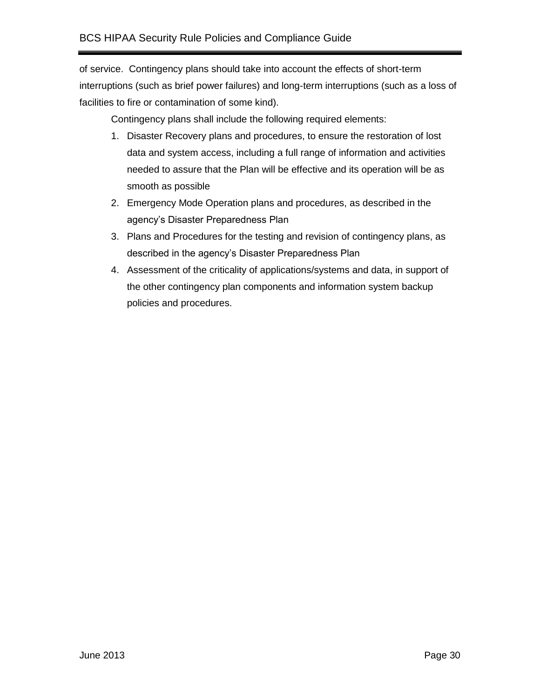of service. Contingency plans should take into account the effects of short-term interruptions (such as brief power failures) and long-term interruptions (such as a loss of facilities to fire or contamination of some kind).

Contingency plans shall include the following required elements:

- 1. Disaster Recovery plans and procedures, to ensure the restoration of lost data and system access, including a full range of information and activities needed to assure that the Plan will be effective and its operation will be as smooth as possible
- 2. Emergency Mode Operation plans and procedures, as described in the agency's Disaster Preparedness Plan
- 3. Plans and Procedures for the testing and revision of contingency plans, as described in the agency's Disaster Preparedness Plan
- 4. Assessment of the criticality of applications/systems and data, in support of the other contingency plan components and information system backup policies and procedures.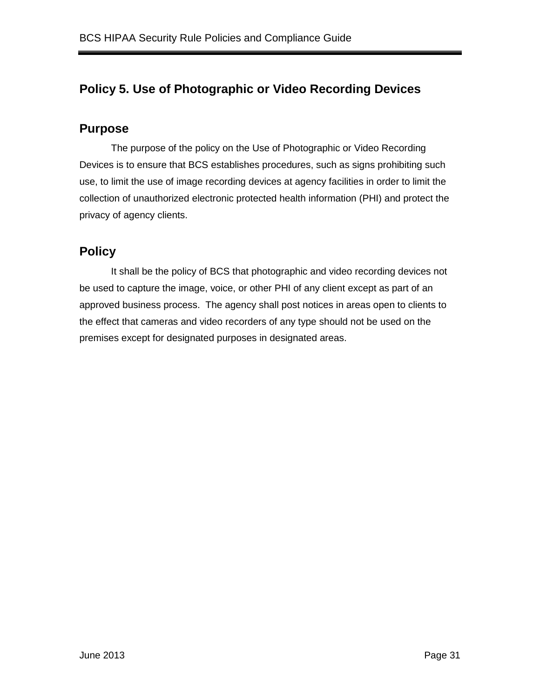# **Policy 5. Use of Photographic or Video Recording Devices**

### **Purpose**

The purpose of the policy on the Use of Photographic or Video Recording Devices is to ensure that BCS establishes procedures, such as signs prohibiting such use, to limit the use of image recording devices at agency facilities in order to limit the collection of unauthorized electronic protected health information (PHI) and protect the privacy of agency clients.

# **Policy**

It shall be the policy of BCS that photographic and video recording devices not be used to capture the image, voice, or other PHI of any client except as part of an approved business process. The agency shall post notices in areas open to clients to the effect that cameras and video recorders of any type should not be used on the premises except for designated purposes in designated areas.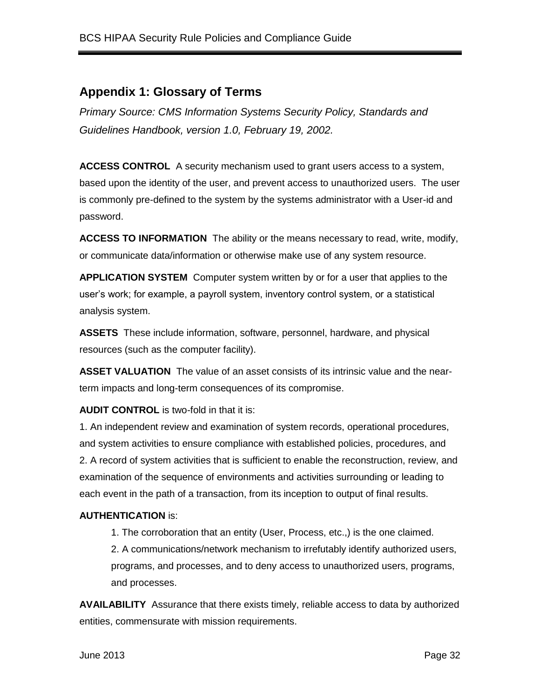# **Appendix 1: Glossary of Terms**

*Primary Source: CMS Information Systems Security Policy, Standards and Guidelines Handbook, version 1.0, February 19, 2002.*

**ACCESS CONTROL** A security mechanism used to grant users access to a system, based upon the identity of the user, and prevent access to unauthorized users. The user is commonly pre-defined to the system by the systems administrator with a User-id and password.

**ACCESS TO INFORMATION** The ability or the means necessary to read, write, modify, or communicate data/information or otherwise make use of any system resource.

**APPLICATION SYSTEM** Computer system written by or for a user that applies to the user's work; for example, a payroll system, inventory control system, or a statistical analysis system.

**ASSETS** These include information, software, personnel, hardware, and physical resources (such as the computer facility).

**ASSET VALUATION** The value of an asset consists of its intrinsic value and the nearterm impacts and long-term consequences of its compromise.

#### **AUDIT CONTROL** is two-fold in that it is:

1. An independent review and examination of system records, operational procedures, and system activities to ensure compliance with established policies, procedures, and 2. A record of system activities that is sufficient to enable the reconstruction, review, and examination of the sequence of environments and activities surrounding or leading to each event in the path of a transaction, from its inception to output of final results.

#### **AUTHENTICATION** is:

1. The corroboration that an entity (User, Process, etc.,) is the one claimed.

2. A communications/network mechanism to irrefutably identify authorized users, programs, and processes, and to deny access to unauthorized users, programs, and processes.

**AVAILABILITY** Assurance that there exists timely, reliable access to data by authorized entities, commensurate with mission requirements.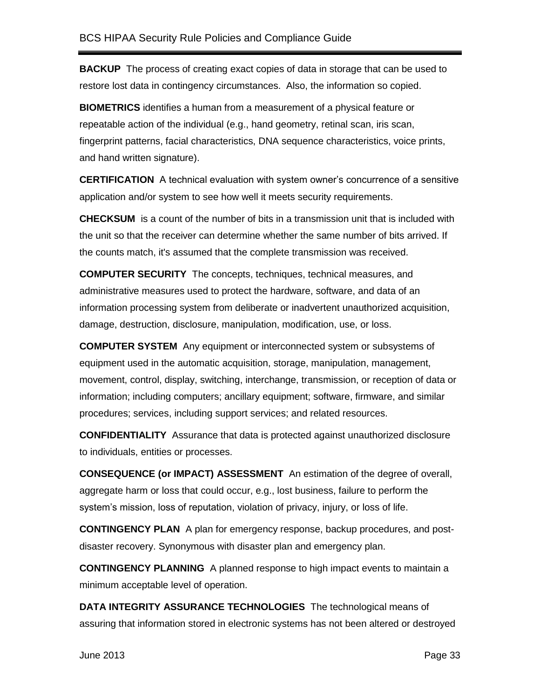**BACKUP** The process of creating exact copies of data in storage that can be used to restore lost data in contingency circumstances. Also, the information so copied.

**BIOMETRICS** identifies a human from a measurement of a physical feature or repeatable action of the individual (e.g., hand geometry, retinal scan, iris scan, fingerprint patterns, facial characteristics, DNA sequence characteristics, voice prints, and hand written signature).

**CERTIFICATION** A technical evaluation with system owner's concurrence of a sensitive application and/or system to see how well it meets security requirements.

**CHECKSUM** is a count of the number of bits in a transmission unit that is included with the unit so that the receiver can determine whether the same number of bits arrived. If the counts match, it's assumed that the complete transmission was received.

**COMPUTER SECURITY** The concepts, techniques, technical measures, and administrative measures used to protect the hardware, software, and data of an information processing system from deliberate or inadvertent unauthorized acquisition, damage, destruction, disclosure, manipulation, modification, use, or loss.

**COMPUTER SYSTEM** Any equipment or interconnected system or subsystems of equipment used in the automatic acquisition, storage, manipulation, management, movement, control, display, switching, interchange, transmission, or reception of data or information; including computers; ancillary equipment; software, firmware, and similar procedures; services, including support services; and related resources.

**CONFIDENTIALITY** Assurance that data is protected against unauthorized disclosure to individuals, entities or processes.

**CONSEQUENCE (or IMPACT) ASSESSMENT** An estimation of the degree of overall, aggregate harm or loss that could occur, e.g., lost business, failure to perform the system's mission, loss of reputation, violation of privacy, injury, or loss of life.

**CONTINGENCY PLAN** A plan for emergency response, backup procedures, and postdisaster recovery. Synonymous with disaster plan and emergency plan.

**CONTINGENCY PLANNING** A planned response to high impact events to maintain a minimum acceptable level of operation.

**DATA INTEGRITY ASSURANCE TECHNOLOGIES** The technological means of assuring that information stored in electronic systems has not been altered or destroyed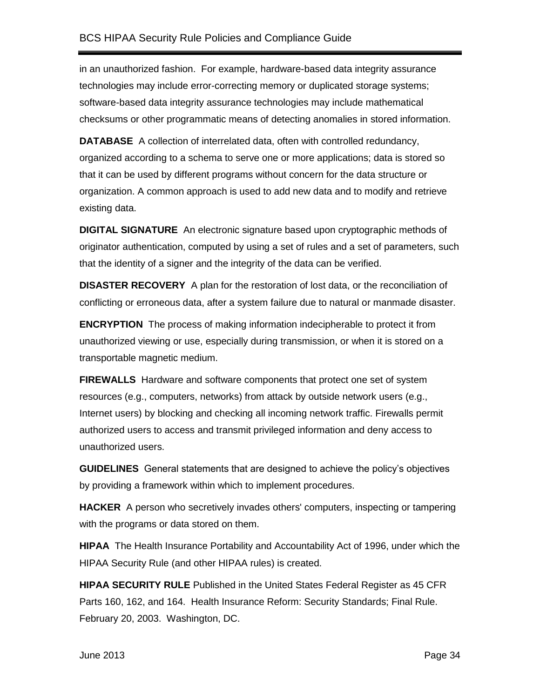in an unauthorized fashion. For example, hardware-based data integrity assurance technologies may include error-correcting memory or duplicated storage systems; software-based data integrity assurance technologies may include mathematical checksums or other programmatic means of detecting anomalies in stored information.

**DATABASE** A collection of interrelated data, often with controlled redundancy, organized according to a schema to serve one or more applications; data is stored so that it can be used by different programs without concern for the data structure or organization. A common approach is used to add new data and to modify and retrieve existing data.

**DIGITAL SIGNATURE** An electronic signature based upon cryptographic methods of originator authentication, computed by using a set of rules and a set of parameters, such that the identity of a signer and the integrity of the data can be verified.

**DISASTER RECOVERY** A plan for the restoration of lost data, or the reconciliation of conflicting or erroneous data, after a system failure due to natural or manmade disaster.

**ENCRYPTION** The process of making information indecipherable to protect it from unauthorized viewing or use, especially during transmission, or when it is stored on a transportable magnetic medium.

**FIREWALLS** Hardware and software components that protect one set of system resources (e.g., computers, networks) from attack by outside network users (e.g., Internet users) by blocking and checking all incoming network traffic. Firewalls permit authorized users to access and transmit privileged information and deny access to unauthorized users.

**GUIDELINES** General statements that are designed to achieve the policy's objectives by providing a framework within which to implement procedures.

**HACKER** A person who secretively invades others' computers, inspecting or tampering with the programs or data stored on them.

**HIPAA** The Health Insurance Portability and Accountability Act of 1996, under which the HIPAA Security Rule (and other HIPAA rules) is created.

**HIPAA SECURITY RULE** Published in the United States Federal Register as 45 CFR Parts 160, 162, and 164. Health Insurance Reform: Security Standards; Final Rule. February 20, 2003. Washington, DC.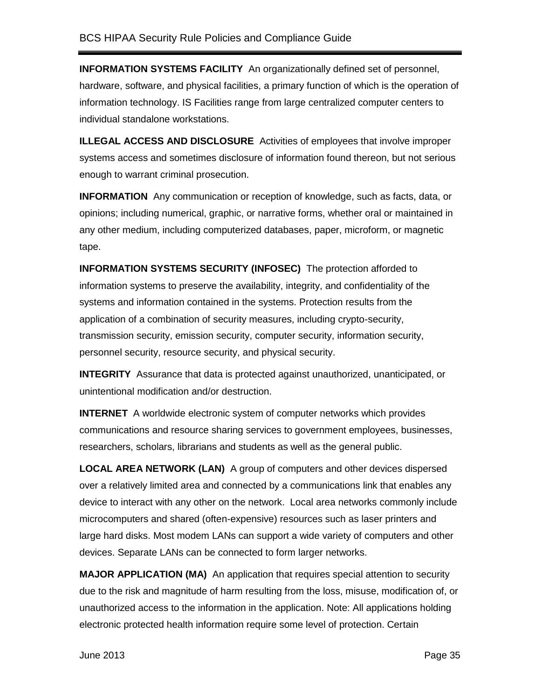**INFORMATION SYSTEMS FACILITY** An organizationally defined set of personnel, hardware, software, and physical facilities, a primary function of which is the operation of information technology. IS Facilities range from large centralized computer centers to individual standalone workstations.

**ILLEGAL ACCESS AND DISCLOSURE** Activities of employees that involve improper systems access and sometimes disclosure of information found thereon, but not serious enough to warrant criminal prosecution.

**INFORMATION** Any communication or reception of knowledge, such as facts, data, or opinions; including numerical, graphic, or narrative forms, whether oral or maintained in any other medium, including computerized databases, paper, microform, or magnetic tape.

**INFORMATION SYSTEMS SECURITY (INFOSEC)** The protection afforded to information systems to preserve the availability, integrity, and confidentiality of the systems and information contained in the systems. Protection results from the application of a combination of security measures, including crypto-security, transmission security, emission security, computer security, information security, personnel security, resource security, and physical security.

**INTEGRITY** Assurance that data is protected against unauthorized, unanticipated, or unintentional modification and/or destruction.

**INTERNET** A worldwide electronic system of computer networks which provides communications and resource sharing services to government employees, businesses, researchers, scholars, librarians and students as well as the general public.

**LOCAL AREA NETWORK (LAN)** A group of computers and other devices dispersed over a relatively limited area and connected by a communications link that enables any device to interact with any other on the network. Local area networks commonly include microcomputers and shared (often-expensive) resources such as laser printers and large hard disks. Most modem LANs can support a wide variety of computers and other devices. Separate LANs can be connected to form larger networks.

**MAJOR APPLICATION (MA)** An application that requires special attention to security due to the risk and magnitude of harm resulting from the loss, misuse, modification of, or unauthorized access to the information in the application. Note: All applications holding electronic protected health information require some level of protection. Certain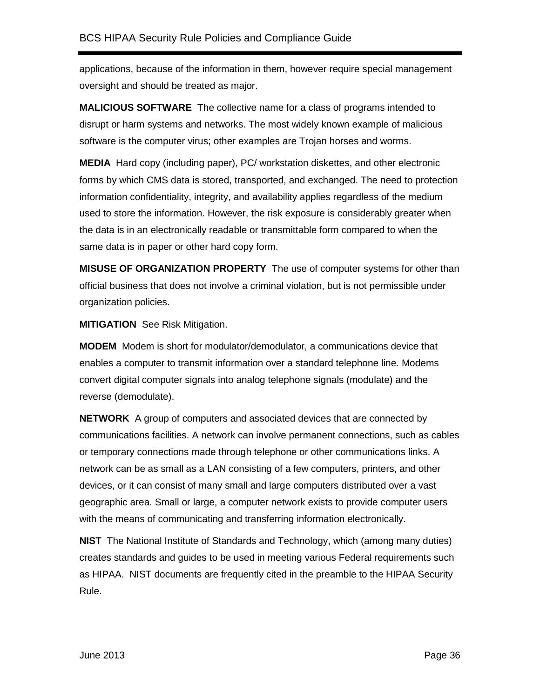applications, because of the information in them, however require special management oversight and should be treated as major.

**MALICIOUS SOFTWARE** The collective name for a class of programs intended to disrupt or harm systems and networks. The most widely known example of malicious software is the computer virus; other examples are Trojan horses and worms.

**MEDIA** Hard copy (including paper), PC/ workstation diskettes, and other electronic forms by which CMS data is stored, transported, and exchanged. The need to protection information confidentiality, integrity, and availability applies regardless of the medium used to store the information. However, the risk exposure is considerably greater when the data is in an electronically readable or transmittable form compared to when the same data is in paper or other hard copy form.

**MISUSE OF ORGANIZATION PROPERTY** The use of computer systems for other than official business that does not involve a criminal violation, but is not permissible under organization policies.

**MITIGATION** See Risk Mitigation.

**MODEM** Modem is short for modulator/demodulator, a communications device that enables a computer to transmit information over a standard telephone line. Modems convert digital computer signals into analog telephone signals (modulate) and the reverse (demodulate).

**NETWORK** A group of computers and associated devices that are connected by communications facilities. A network can involve permanent connections, such as cables or temporary connections made through telephone or other communications links. A network can be as small as a LAN consisting of a few computers, printers, and other devices, or it can consist of many small and large computers distributed over a vast geographic area. Small or large, a computer network exists to provide computer users with the means of communicating and transferring information electronically.

**NIST** The National Institute of Standards and Technology, which (among many duties) creates standards and guides to be used in meeting various Federal requirements such as HIPAA. NIST documents are frequently cited in the preamble to the HIPAA Security Rule.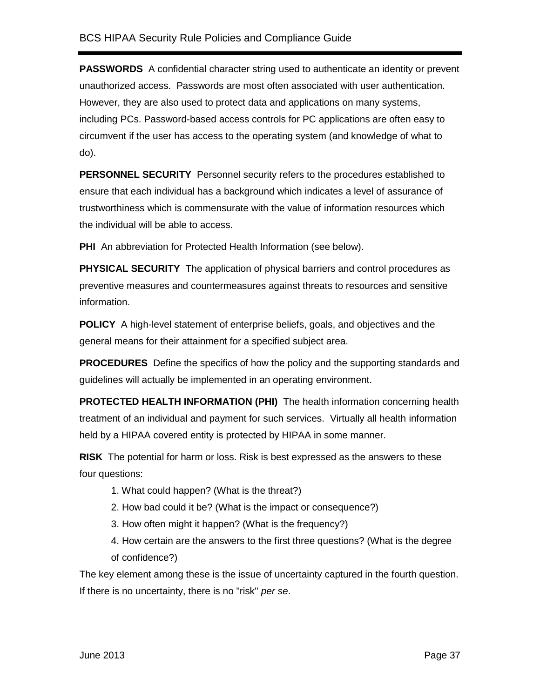**PASSWORDS** A confidential character string used to authenticate an identity or prevent unauthorized access. Passwords are most often associated with user authentication. However, they are also used to protect data and applications on many systems, including PCs. Password-based access controls for PC applications are often easy to circumvent if the user has access to the operating system (and knowledge of what to do).

**PERSONNEL SECURITY** Personnel security refers to the procedures established to ensure that each individual has a background which indicates a level of assurance of trustworthiness which is commensurate with the value of information resources which the individual will be able to access.

**PHI** An abbreviation for Protected Health Information (see below).

**PHYSICAL SECURITY** The application of physical barriers and control procedures as preventive measures and countermeasures against threats to resources and sensitive information.

**POLICY** A high-level statement of enterprise beliefs, goals, and objectives and the general means for their attainment for a specified subject area.

**PROCEDURES** Define the specifics of how the policy and the supporting standards and guidelines will actually be implemented in an operating environment.

**PROTECTED HEALTH INFORMATION (PHI)** The health information concerning health treatment of an individual and payment for such services. Virtually all health information held by a HIPAA covered entity is protected by HIPAA in some manner.

**RISK** The potential for harm or loss. Risk is best expressed as the answers to these four questions:

- 1. What could happen? (What is the threat?)
- 2. How bad could it be? (What is the impact or consequence?)
- 3. How often might it happen? (What is the frequency?)
- 4. How certain are the answers to the first three questions? (What is the degree of confidence?)

The key element among these is the issue of uncertainty captured in the fourth question. If there is no uncertainty, there is no "risk" *per se*.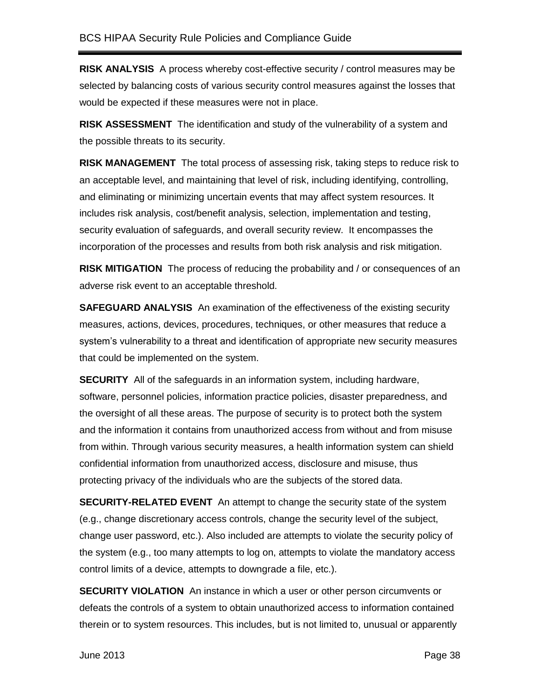**RISK ANALYSIS** A process whereby cost-effective security / control measures may be selected by balancing costs of various security control measures against the losses that would be expected if these measures were not in place.

**RISK ASSESSMENT** The identification and study of the vulnerability of a system and the possible threats to its security.

**RISK MANAGEMENT** The total process of assessing risk, taking steps to reduce risk to an acceptable level, and maintaining that level of risk, including identifying, controlling, and eliminating or minimizing uncertain events that may affect system resources. It includes risk analysis, cost/benefit analysis, selection, implementation and testing, security evaluation of safeguards, and overall security review. It encompasses the incorporation of the processes and results from both risk analysis and risk mitigation.

**RISK MITIGATION** The process of reducing the probability and / or consequences of an adverse risk event to an acceptable threshold.

**SAFEGUARD ANALYSIS** An examination of the effectiveness of the existing security measures, actions, devices, procedures, techniques, or other measures that reduce a system's vulnerability to a threat and identification of appropriate new security measures that could be implemented on the system.

**SECURITY** All of the safeguards in an information system, including hardware, software, personnel policies, information practice policies, disaster preparedness, and the oversight of all these areas. The purpose of security is to protect both the system and the information it contains from unauthorized access from without and from misuse from within. Through various security measures, a health information system can shield confidential information from unauthorized access, disclosure and misuse, thus protecting privacy of the individuals who are the subjects of the stored data.

**SECURITY-RELATED EVENT** An attempt to change the security state of the system (e.g., change discretionary access controls, change the security level of the subject, change user password, etc.). Also included are attempts to violate the security policy of the system (e.g., too many attempts to log on, attempts to violate the mandatory access control limits of a device, attempts to downgrade a file, etc.).

**SECURITY VIOLATION** An instance in which a user or other person circumvents or defeats the controls of a system to obtain unauthorized access to information contained therein or to system resources. This includes, but is not limited to, unusual or apparently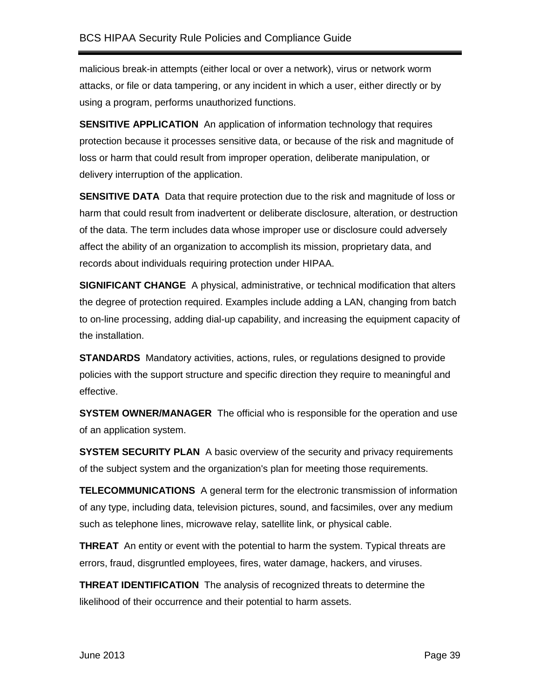malicious break-in attempts (either local or over a network), virus or network worm attacks, or file or data tampering, or any incident in which a user, either directly or by using a program, performs unauthorized functions.

**SENSITIVE APPLICATION** An application of information technology that requires protection because it processes sensitive data, or because of the risk and magnitude of loss or harm that could result from improper operation, deliberate manipulation, or delivery interruption of the application.

**SENSITIVE DATA** Data that require protection due to the risk and magnitude of loss or harm that could result from inadvertent or deliberate disclosure, alteration, or destruction of the data. The term includes data whose improper use or disclosure could adversely affect the ability of an organization to accomplish its mission, proprietary data, and records about individuals requiring protection under HIPAA.

**SIGNIFICANT CHANGE** A physical, administrative, or technical modification that alters the degree of protection required. Examples include adding a LAN, changing from batch to on-line processing, adding dial-up capability, and increasing the equipment capacity of the installation.

**STANDARDS** Mandatory activities, actions, rules, or regulations designed to provide policies with the support structure and specific direction they require to meaningful and effective.

**SYSTEM OWNER/MANAGER** The official who is responsible for the operation and use of an application system.

**SYSTEM SECURITY PLAN** A basic overview of the security and privacy requirements of the subject system and the organization's plan for meeting those requirements.

**TELECOMMUNICATIONS** A general term for the electronic transmission of information of any type, including data, television pictures, sound, and facsimiles, over any medium such as telephone lines, microwave relay, satellite link, or physical cable.

**THREAT** An entity or event with the potential to harm the system. Typical threats are errors, fraud, disgruntled employees, fires, water damage, hackers, and viruses.

**THREAT IDENTIFICATION** The analysis of recognized threats to determine the likelihood of their occurrence and their potential to harm assets.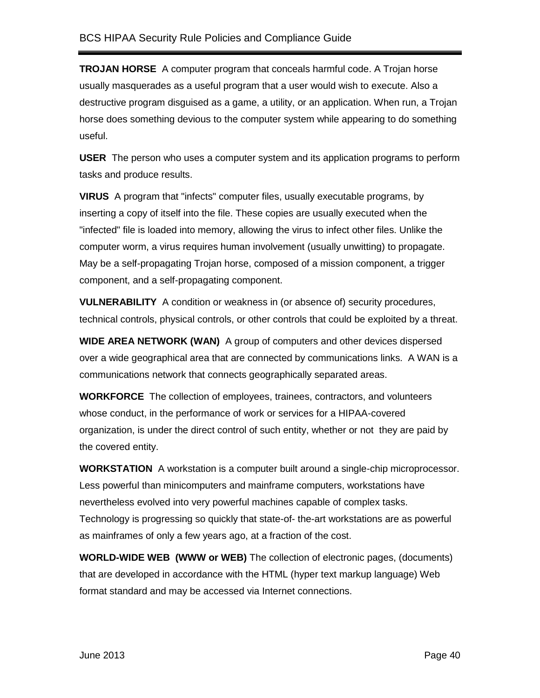**TROJAN HORSE** A computer program that conceals harmful code. A Trojan horse usually masquerades as a useful program that a user would wish to execute. Also a destructive program disguised as a game, a utility, or an application. When run, a Trojan horse does something devious to the computer system while appearing to do something useful.

**USER** The person who uses a computer system and its application programs to perform tasks and produce results.

**VIRUS** A program that "infects" computer files, usually executable programs, by inserting a copy of itself into the file. These copies are usually executed when the "infected" file is loaded into memory, allowing the virus to infect other files. Unlike the computer worm, a virus requires human involvement (usually unwitting) to propagate. May be a self-propagating Trojan horse, composed of a mission component, a trigger component, and a self-propagating component.

**VULNERABILITY** A condition or weakness in (or absence of) security procedures, technical controls, physical controls, or other controls that could be exploited by a threat.

**WIDE AREA NETWORK (WAN)** A group of computers and other devices dispersed over a wide geographical area that are connected by communications links. A WAN is a communications network that connects geographically separated areas.

**WORKFORCE** The collection of employees, trainees, contractors, and volunteers whose conduct, in the performance of work or services for a HIPAA-covered organization, is under the direct control of such entity, whether or not they are paid by the covered entity.

**WORKSTATION** A workstation is a computer built around a single-chip microprocessor. Less powerful than minicomputers and mainframe computers, workstations have nevertheless evolved into very powerful machines capable of complex tasks. Technology is progressing so quickly that state-of- the-art workstations are as powerful as mainframes of only a few years ago, at a fraction of the cost.

**WORLD-WIDE WEB (WWW or WEB)** The collection of electronic pages, (documents) that are developed in accordance with the HTML (hyper text markup language) Web format standard and may be accessed via Internet connections.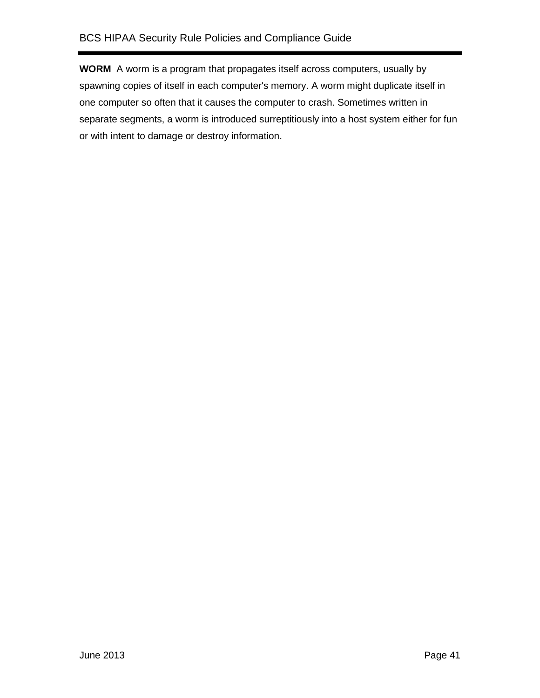**WORM** A worm is a program that propagates itself across computers, usually by spawning copies of itself in each computer's memory. A worm might duplicate itself in one computer so often that it causes the computer to crash. Sometimes written in separate segments, a worm is introduced surreptitiously into a host system either for fun or with intent to damage or destroy information.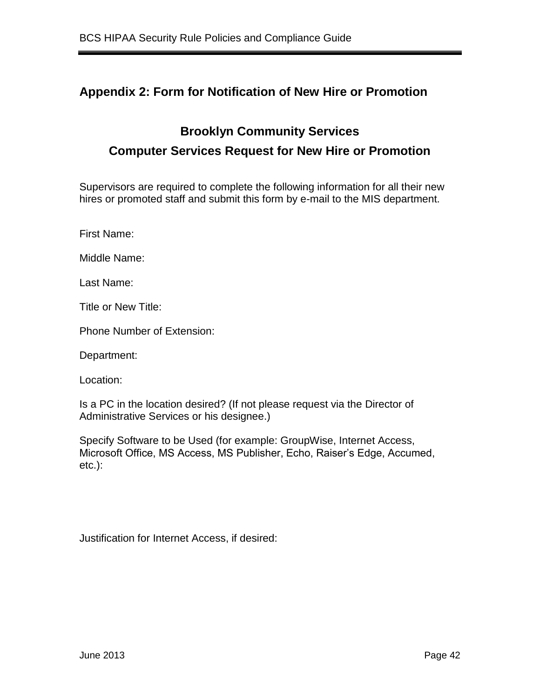# **Appendix 2: Form for Notification of New Hire or Promotion**

# **Brooklyn Community Services Computer Services Request for New Hire or Promotion**

Supervisors are required to complete the following information for all their new hires or promoted staff and submit this form by e-mail to the MIS department.

First Name:

Middle Name:

Last Name:

Title or New Title:

Phone Number of Extension:

Department:

Location:

Is a PC in the location desired? (If not please request via the Director of Administrative Services or his designee.)

Specify Software to be Used (for example: GroupWise, Internet Access, Microsoft Office, MS Access, MS Publisher, Echo, Raiser's Edge, Accumed, etc.):

Justification for Internet Access, if desired: